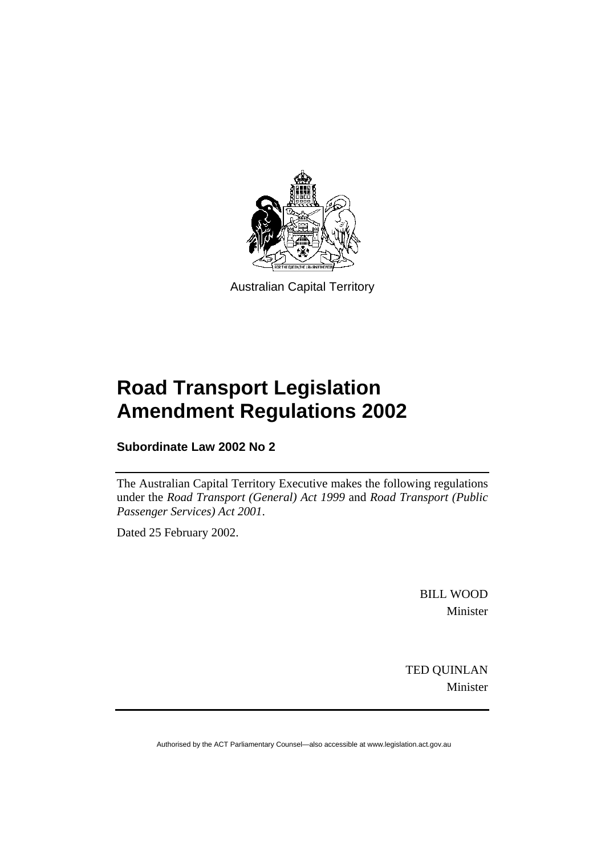

Australian Capital Territory

# **Road Transport Legislation Amendment Regulations 2002**

**Subordinate Law 2002 No 2** 

The Australian Capital Territory Executive makes the following regulations under the *Road Transport (General) Act 1999* and *Road Transport (Public Passenger Services) Act 2001*.

Dated 25 February 2002.

BILL WOOD Minister

TED QUINLAN Minister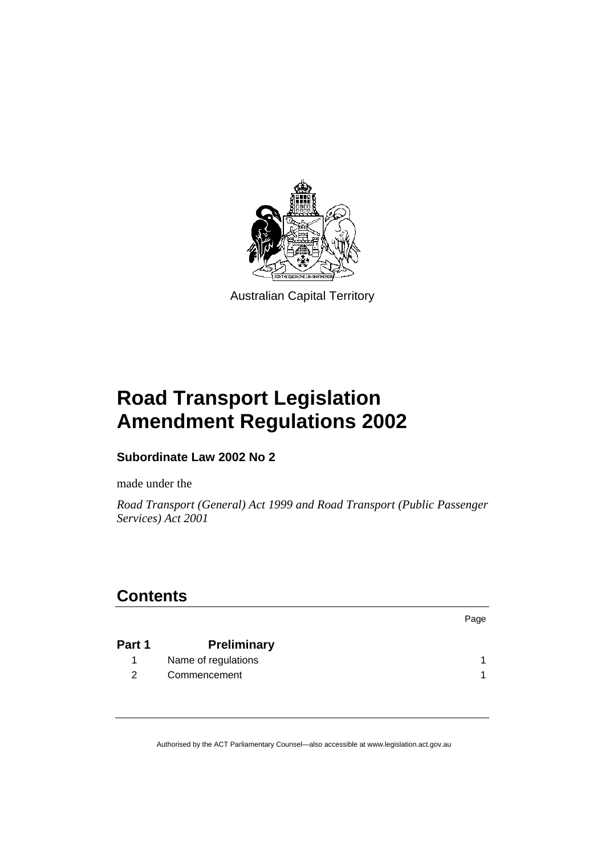

Australian Capital Territory

# **Road Transport Legislation Amendment Regulations 2002**

# **Subordinate Law 2002 No 2**

made under the

*Road Transport (General) Act 1999 and Road Transport (Public Passenger Services) Act 2001* 

# **Contents**

| Part 1        | <b>Preliminary</b>  |  |
|---------------|---------------------|--|
|               | Name of regulations |  |
| $\mathcal{P}$ | Commencement        |  |

Page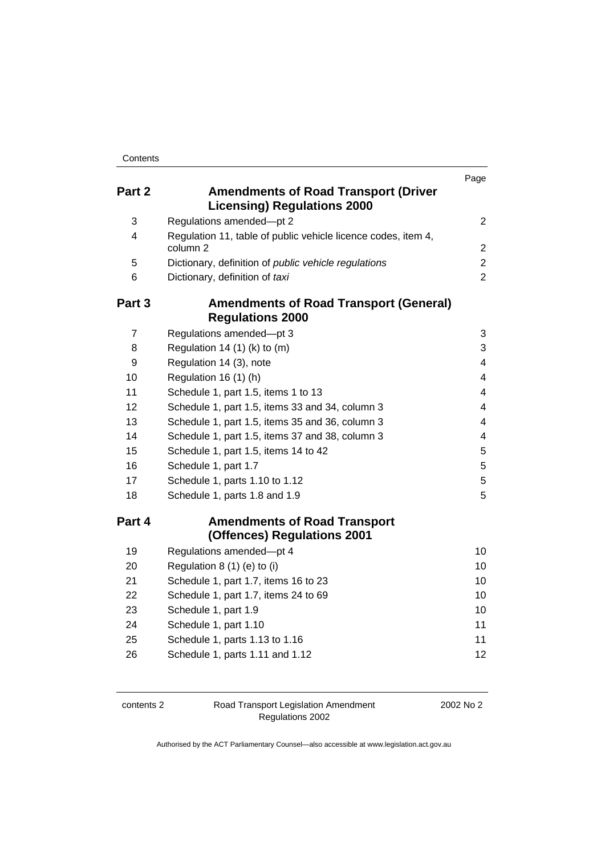|                |                                                                                      | Page           |
|----------------|--------------------------------------------------------------------------------------|----------------|
| Part 2         | <b>Amendments of Road Transport (Driver</b><br><b>Licensing) Regulations 2000</b>    |                |
| 3              | Regulations amended-pt 2                                                             | $\overline{2}$ |
| 4              | Regulation 11, table of public vehicle licence codes, item 4,<br>column <sub>2</sub> | $\overline{2}$ |
| 5              | Dictionary, definition of public vehicle regulations                                 | $\overline{2}$ |
| 6              | Dictionary, definition of taxi                                                       | $\overline{2}$ |
| Part 3         | <b>Amendments of Road Transport (General)</b><br><b>Regulations 2000</b>             |                |
| $\overline{7}$ | Regulations amended-pt 3                                                             | 3              |
| 8              | Regulation 14 $(1)$ (k) to $(m)$                                                     | 3              |
| 9              | Regulation 14 (3), note                                                              | 4              |
| 10             | Regulation 16 (1) (h)                                                                | 4              |
| 11             | Schedule 1, part 1.5, items 1 to 13                                                  | 4              |
| 12             | Schedule 1, part 1.5, items 33 and 34, column 3                                      | 4              |
| 13             | Schedule 1, part 1.5, items 35 and 36, column 3                                      | 4              |
| 14             | Schedule 1, part 1.5, items 37 and 38, column 3                                      | 4              |
| 15             | Schedule 1, part 1.5, items 14 to 42                                                 | 5              |
| 16             | Schedule 1, part 1.7                                                                 | 5              |
| 17             | Schedule 1, parts 1.10 to 1.12                                                       | 5              |
| 18             | Schedule 1, parts 1.8 and 1.9                                                        | 5              |
| Part 4         | <b>Amendments of Road Transport</b><br>(Offences) Regulations 2001                   |                |
| 19             | Regulations amended-pt 4                                                             | 10             |
| 20             | Regulation $8(1)(e)$ to (i)                                                          | 10             |
| 21             | Schedule 1, part 1.7, items 16 to 23                                                 | 10             |
| 22             | Schedule 1, part 1.7, items 24 to 69                                                 | 10             |
| 23             | Schedule 1, part 1.9                                                                 | 10             |
| 24             | Schedule 1, part 1.10                                                                | 11             |
| 25             | Schedule 1, parts 1.13 to 1.16                                                       | 11             |
| 26             | Schedule 1, parts 1.11 and 1.12                                                      | 12             |

|  | contents 2 |  |
|--|------------|--|
|--|------------|--|

contents 2 Road Transport Legislation Amendment Regulations 2002

2002 No 2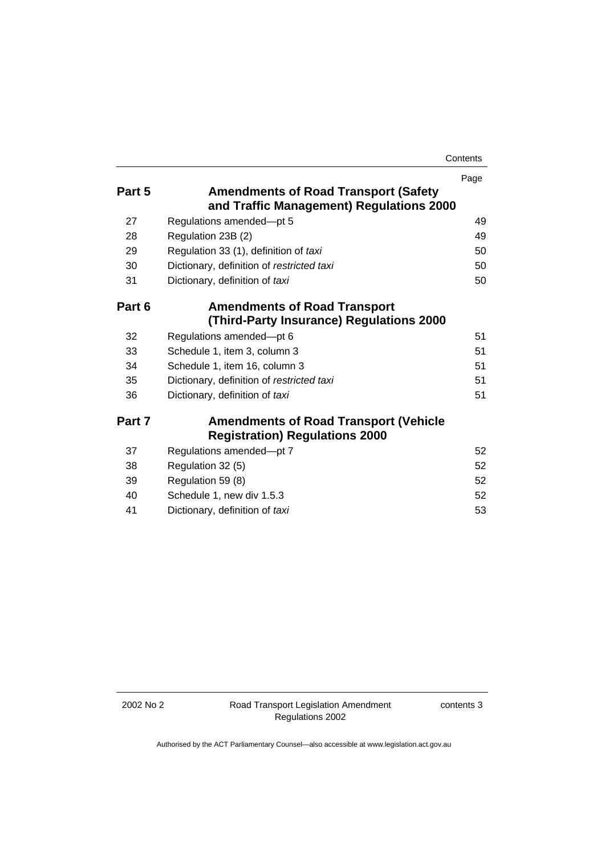| Contents |
|----------|
|----------|

|        |                                              | Page |
|--------|----------------------------------------------|------|
| Part 5 | <b>Amendments of Road Transport (Safety</b>  |      |
|        | and Traffic Management) Regulations 2000     |      |
| 27     | Regulations amended-pt 5                     | 49   |
| 28     | Regulation 23B (2)                           | 49   |
| 29     | Regulation 33 (1), definition of taxi        | 50   |
| 30     | Dictionary, definition of restricted taxi    | 50   |
| 31     | Dictionary, definition of taxi               | 50   |
| Part 6 | <b>Amendments of Road Transport</b>          |      |
|        | (Third-Party Insurance) Regulations 2000     |      |
| 32     | Regulations amended-pt 6                     | 51   |
| 33     | Schedule 1, item 3, column 3                 | 51   |
| 34     | Schedule 1, item 16, column 3                | 51   |
| 35     | Dictionary, definition of restricted taxi    | 51   |
| 36     | Dictionary, definition of taxi               | 51   |
| Part 7 | <b>Amendments of Road Transport (Vehicle</b> |      |
|        | <b>Registration) Regulations 2000</b>        |      |
| 37     | Regulations amended-pt 7                     | 52   |
| 38     | Regulation 32 (5)                            | 52   |
| 39     | Regulation 59 (8)                            | 52   |
| 40     | Schedule 1, new div 1.5.3                    | 52   |
| 41     | Dictionary, definition of taxi               | 53   |
|        |                                              |      |

contents 3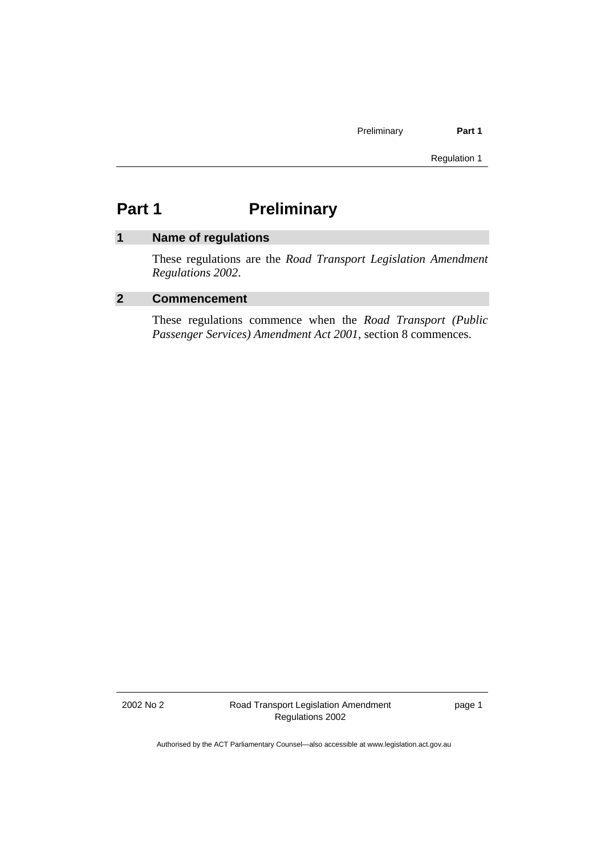Regulation 1

# **Part 1** Preliminary

# **1 Name of regulations**

These regulations are the *Road Transport Legislation Amendment Regulations 2002*.

## **2 Commencement**

These regulations commence when the *Road Transport (Public Passenger Services) Amendment Act 2001*, section 8 commences.

2002 No 2 Road Transport Legislation Amendment Regulations 2002

page 1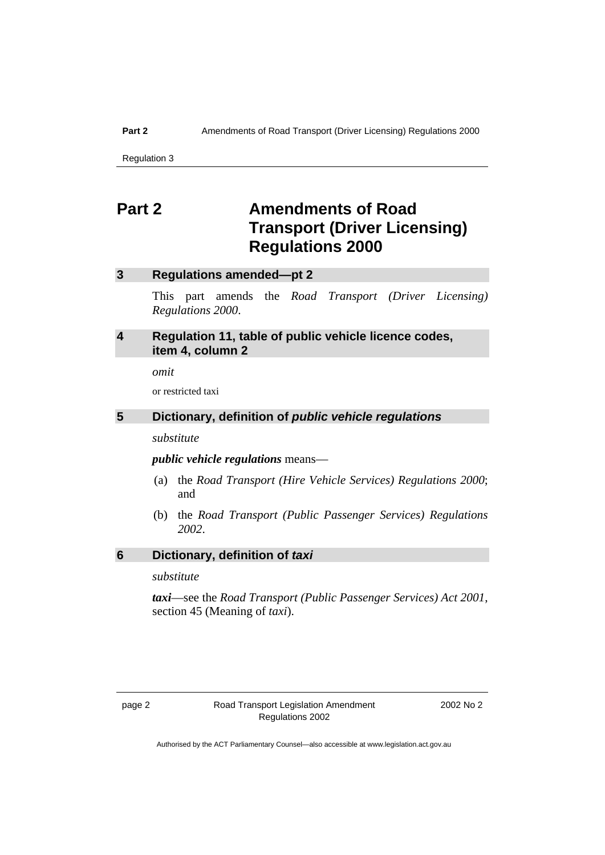### **Part 2** Amendments of Road Transport (Driver Licensing) Regulations 2000

Regulation 3

# **Part 2 Amendments of Road Transport (Driver Licensing) Regulations 2000**

### **3 Regulations amended—pt 2**

This part amends the *Road Transport (Driver Licensing) Regulations 2000*.

## **4 Regulation 11, table of public vehicle licence codes, item 4, column 2**

*omit* 

or restricted taxi

# **5 Dictionary, definition of** *public vehicle regulations*

*substitute* 

*public vehicle regulations* means—

- (a) the *Road Transport (Hire Vehicle Services) Regulations 2000*; and
- (b) the *Road Transport (Public Passenger Services) Regulations 2002*.

*substitute* 

*taxi*—see the *Road Transport (Public Passenger Services) Act 2001*, section 45 (Meaning of *taxi*).

2002 No 2

**<sup>6</sup> Dictionary, definition of** *taxi*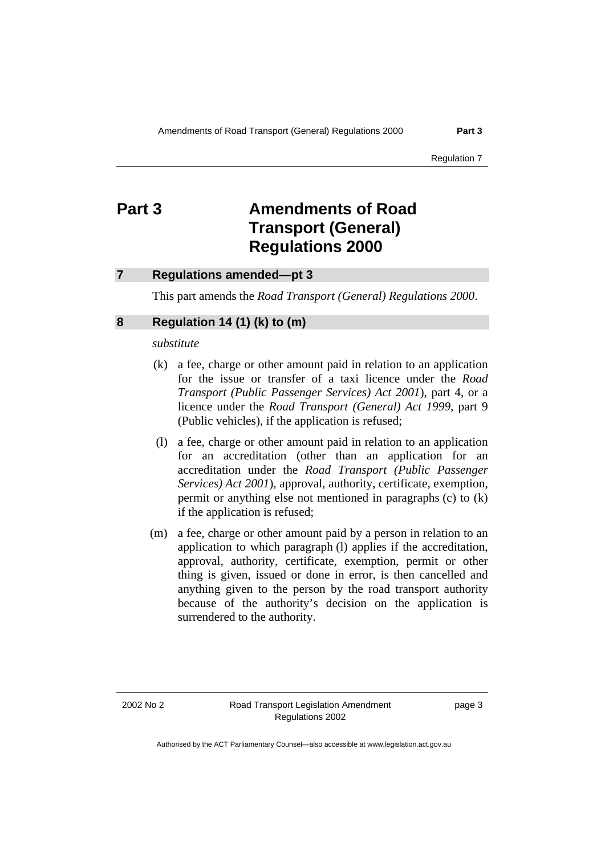### **7 Regulations amended—pt 3**

This part amends the *Road Transport (General) Regulations 2000*.

## **8 Regulation 14 (1) (k) to (m)**

*substitute* 

- (k) a fee, charge or other amount paid in relation to an application for the issue or transfer of a taxi licence under the *Road Transport (Public Passenger Services) Act 2001*), part 4, or a licence under the *Road Transport (General) Act 1999*, part 9 (Public vehicles), if the application is refused;
- (l) a fee, charge or other amount paid in relation to an application for an accreditation (other than an application for an accreditation under the *Road Transport (Public Passenger Services) Act 2001*), approval, authority, certificate, exemption, permit or anything else not mentioned in paragraphs (c) to (k) if the application is refused;
- (m) a fee, charge or other amount paid by a person in relation to an application to which paragraph (l) applies if the accreditation, approval, authority, certificate, exemption, permit or other thing is given, issued or done in error, is then cancelled and anything given to the person by the road transport authority because of the authority's decision on the application is surrendered to the authority.

page 3

Authorised by the ACT Parliamentary Counsel—also accessible at www.legislation.act.gov.au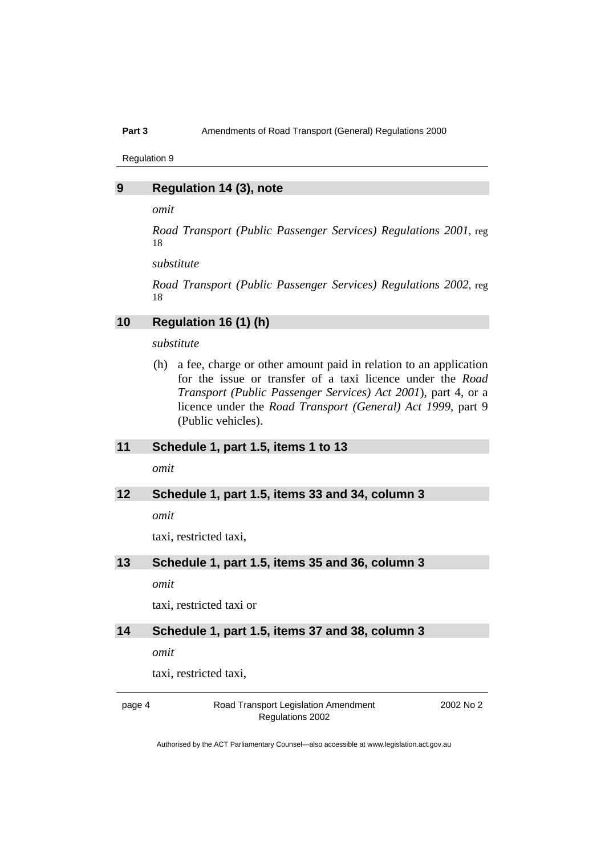Regulation 9

### **9 Regulation 14 (3), note**

*omit* 

*Road Transport (Public Passenger Services) Regulations 2001*, reg 18

*substitute* 

*Road Transport (Public Passenger Services) Regulations 2002*, reg 18

### **10 Regulation 16 (1) (h)**

*substitute* 

 (h) a fee, charge or other amount paid in relation to an application for the issue or transfer of a taxi licence under the *Road Transport (Public Passenger Services) Act 2001*), part 4, or a licence under the *Road Transport (General) Act 1999*, part 9 (Public vehicles).

### **11 Schedule 1, part 1.5, items 1 to 13**

*omit* 

### **12 Schedule 1, part 1.5, items 33 and 34, column 3**

*omit* 

taxi, restricted taxi,

## **13 Schedule 1, part 1.5, items 35 and 36, column 3**

*omit* 

taxi, restricted taxi or

### **14 Schedule 1, part 1.5, items 37 and 38, column 3**

*omit* 

taxi, restricted taxi,

page 4 Road Transport Legislation Amendment Regulations 2002

2002 No 2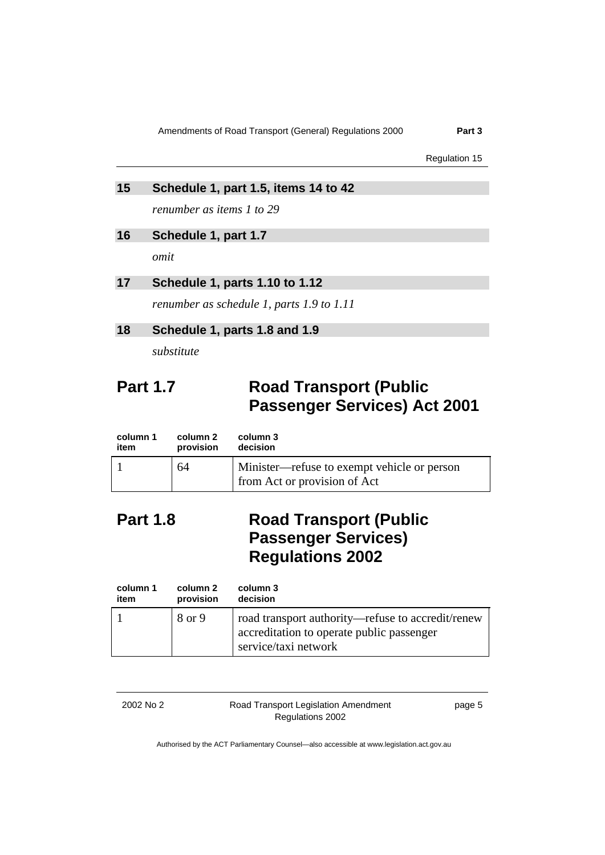Regulation 15

### **15 Schedule 1, part 1.5, items 14 to 42**

*renumber as items 1 to 29* 

## **16 Schedule 1, part 1.7**

*omit* 

## **17 Schedule 1, parts 1.10 to 1.12**

*renumber as schedule 1, parts 1.9 to 1.11* 

## **18 Schedule 1, parts 1.8 and 1.9**

*substitute* 

# **Part 1.7 Road Transport (Public Passenger Services) Act 2001**

| column 1<br>item | column 2<br>provision | column 3<br>decision                        |
|------------------|-----------------------|---------------------------------------------|
|                  | 64                    | Minister—refuse to exempt vehicle or person |
|                  |                       | from Act or provision of Act                |

# **Part 1.8 Road Transport (Public Passenger Services) Regulations 2002**

| column 1 | column 2  | column 3                                                                                                               |
|----------|-----------|------------------------------------------------------------------------------------------------------------------------|
| item     | provision | decision                                                                                                               |
|          | 8 or 9    | road transport authority—refuse to accredit/renew<br>accreditation to operate public passenger<br>service/taxi network |

2002 No 2 Road Transport Legislation Amendment Regulations 2002

page 5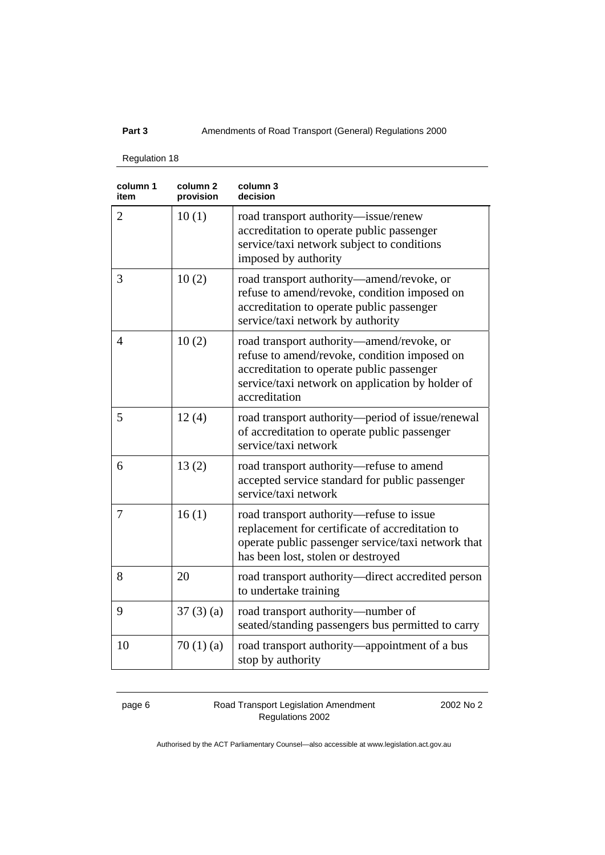Regulation 18

| column 1<br>item | column 2<br>provision | column 3<br>decision                                                                                                                                                                                        |
|------------------|-----------------------|-------------------------------------------------------------------------------------------------------------------------------------------------------------------------------------------------------------|
| $\overline{2}$   | 10(1)                 | road transport authority-issue/renew<br>accreditation to operate public passenger<br>service/taxi network subject to conditions<br>imposed by authority                                                     |
| 3                | 10(2)                 | road transport authority—amend/revoke, or<br>refuse to amend/revoke, condition imposed on<br>accreditation to operate public passenger<br>service/taxi network by authority                                 |
| $\overline{4}$   | 10(2)                 | road transport authority—amend/revoke, or<br>refuse to amend/revoke, condition imposed on<br>accreditation to operate public passenger<br>service/taxi network on application by holder of<br>accreditation |
| 5                | 12(4)                 | road transport authority—period of issue/renewal<br>of accreditation to operate public passenger<br>service/taxi network                                                                                    |
| 6                | 13(2)                 | road transport authority-refuse to amend<br>accepted service standard for public passenger<br>service/taxi network                                                                                          |
| 7                | 16(1)                 | road transport authority—refuse to issue<br>replacement for certificate of accreditation to<br>operate public passenger service/taxi network that<br>has been lost, stolen or destroyed                     |
| 8                | 20                    | road transport authority—direct accredited person<br>to undertake training                                                                                                                                  |
| 9                | 37(3)(a)              | road transport authority—number of<br>seated/standing passengers bus permitted to carry                                                                                                                     |
| 10               | 70(1)(a)              | road transport authority—appointment of a bus<br>stop by authority                                                                                                                                          |

page 6 Road Transport Legislation Amendment Regulations 2002

2002 No 2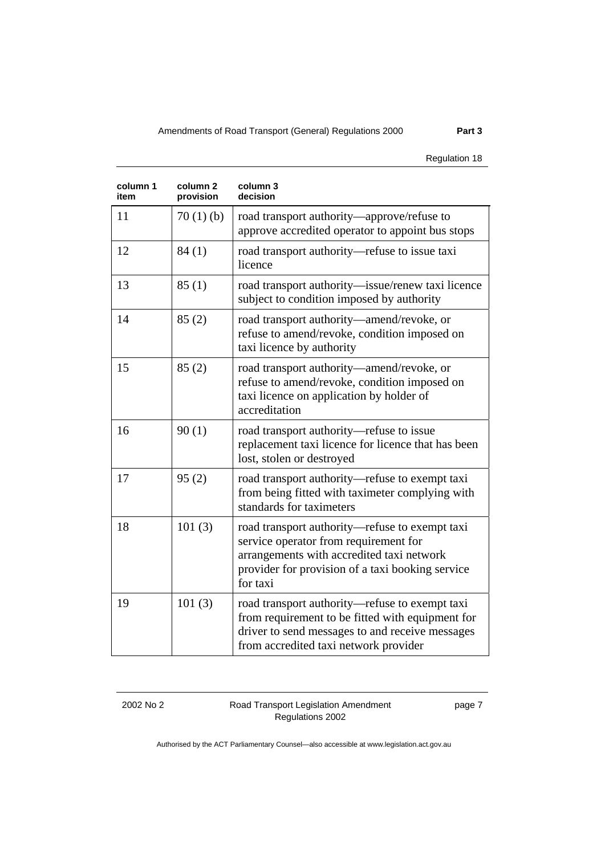### Regulation 18

| column 1<br>item | column <sub>2</sub><br>provision | column 3<br>decision                                                                                                                                                                                 |
|------------------|----------------------------------|------------------------------------------------------------------------------------------------------------------------------------------------------------------------------------------------------|
| 11               | 70(1)(b)                         | road transport authority—approve/refuse to<br>approve accredited operator to appoint bus stops                                                                                                       |
| 12               | 84(1)                            | road transport authority—refuse to issue taxi<br>licence                                                                                                                                             |
| 13               | 85(1)                            | road transport authority-issue/renew taxi licence<br>subject to condition imposed by authority                                                                                                       |
| 14               | 85(2)                            | road transport authority—amend/revoke, or<br>refuse to amend/revoke, condition imposed on<br>taxi licence by authority                                                                               |
| 15               | 85(2)                            | road transport authority—amend/revoke, or<br>refuse to amend/revoke, condition imposed on<br>taxi licence on application by holder of<br>accreditation                                               |
| 16               | 90(1)                            | road transport authority-refuse to issue<br>replacement taxi licence for licence that has been<br>lost, stolen or destroyed                                                                          |
| 17               | 95(2)                            | road transport authority-refuse to exempt taxi<br>from being fitted with taximeter complying with<br>standards for taximeters                                                                        |
| 18               | 101(3)                           | road transport authority—refuse to exempt taxi<br>service operator from requirement for<br>arrangements with accredited taxi network<br>provider for provision of a taxi booking service<br>for taxi |
| 19               | 101(3)                           | road transport authority-refuse to exempt taxi<br>from requirement to be fitted with equipment for<br>driver to send messages to and receive messages<br>from accredited taxi network provider       |

2002 No 2 Road Transport Legislation Amendment Regulations 2002

page 7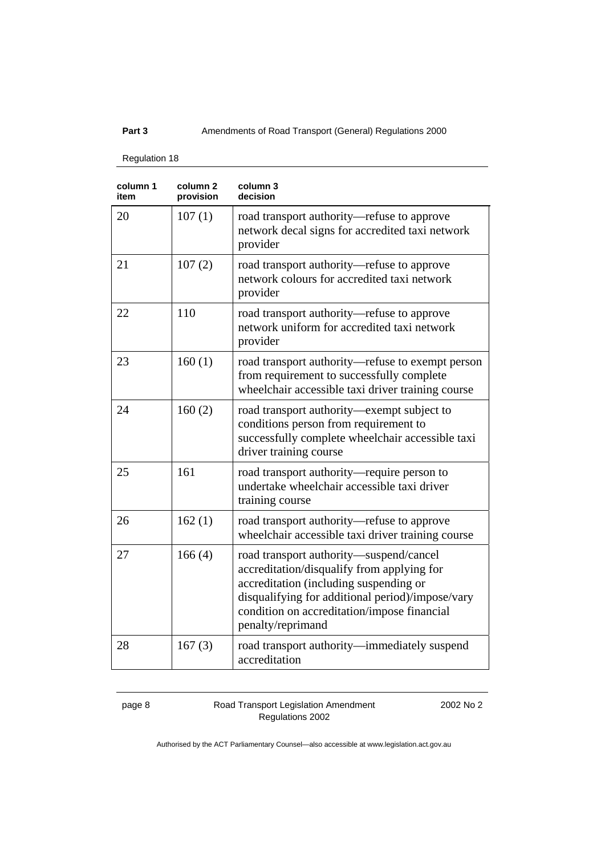Regulation 18

| column 1<br>item | column <sub>2</sub><br>provision | column 3<br>decision                                                                                                                                                                                                                                    |
|------------------|----------------------------------|---------------------------------------------------------------------------------------------------------------------------------------------------------------------------------------------------------------------------------------------------------|
| 20               | 107(1)                           | road transport authority—refuse to approve<br>network decal signs for accredited taxi network<br>provider                                                                                                                                               |
| 21               | 107(2)                           | road transport authority—refuse to approve<br>network colours for accredited taxi network<br>provider                                                                                                                                                   |
| 22               | 110                              | road transport authority—refuse to approve<br>network uniform for accredited taxi network<br>provider                                                                                                                                                   |
| 23               | 160(1)                           | road transport authority-refuse to exempt person<br>from requirement to successfully complete<br>wheelchair accessible taxi driver training course                                                                                                      |
| 24               | 160(2)                           | road transport authority—exempt subject to<br>conditions person from requirement to<br>successfully complete wheelchair accessible taxi<br>driver training course                                                                                       |
| 25               | 161                              | road transport authority—require person to<br>undertake wheelchair accessible taxi driver<br>training course                                                                                                                                            |
| 26               | 162(1)                           | road transport authority—refuse to approve<br>wheelchair accessible taxi driver training course                                                                                                                                                         |
| 27               | 166(4)                           | road transport authority—suspend/cancel<br>accreditation/disqualify from applying for<br>accreditation (including suspending or<br>disqualifying for additional period)/impose/vary<br>condition on accreditation/impose financial<br>penalty/reprimand |
| 28               | 167(3)                           | road transport authority—immediately suspend<br>accreditation                                                                                                                                                                                           |

page 8 Road Transport Legislation Amendment Regulations 2002

2002 No 2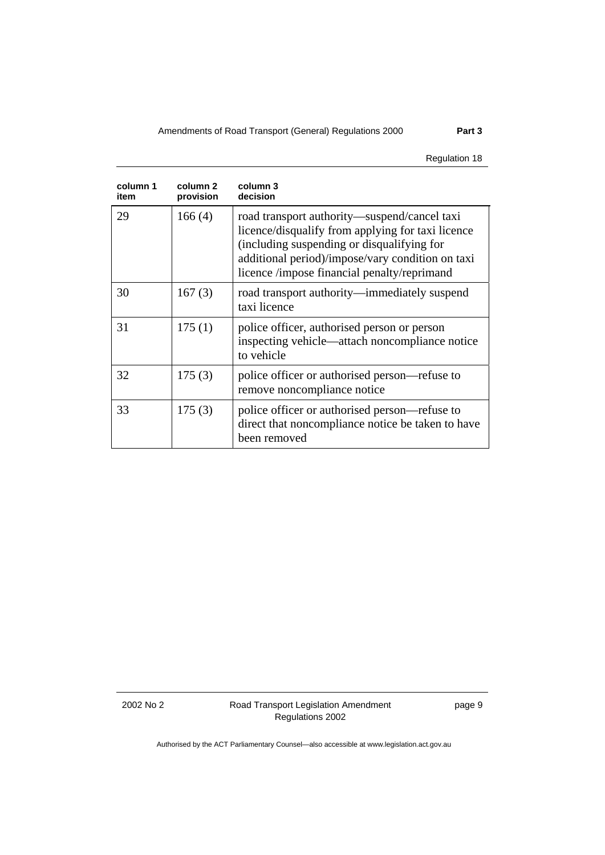Regulation 18

| column 1<br>item | column 2<br>provision | column 3<br>decision                                                                                                                                                                                                                               |
|------------------|-----------------------|----------------------------------------------------------------------------------------------------------------------------------------------------------------------------------------------------------------------------------------------------|
| 29               | 166(4)                | road transport authority—suspend/cancel taxi<br>licence/disqualify from applying for taxi licence<br>(including suspending or disqualifying for<br>additional period)/impose/vary condition on taxi<br>licence /impose financial penalty/reprimand |
| 30               | 167(3)                | road transport authority—immediately suspend<br>taxi licence                                                                                                                                                                                       |
| 31               | 175(1)                | police officer, authorised person or person<br>inspecting vehicle—attach noncompliance notice<br>to vehicle                                                                                                                                        |
| 32               | 175(3)                | police officer or authorised person—refuse to<br>remove noncompliance notice                                                                                                                                                                       |
| 33               | 175(3)                | police officer or authorised person—refuse to<br>direct that noncompliance notice be taken to have<br>been removed                                                                                                                                 |

2002 No 2 Road Transport Legislation Amendment Regulations 2002

page 9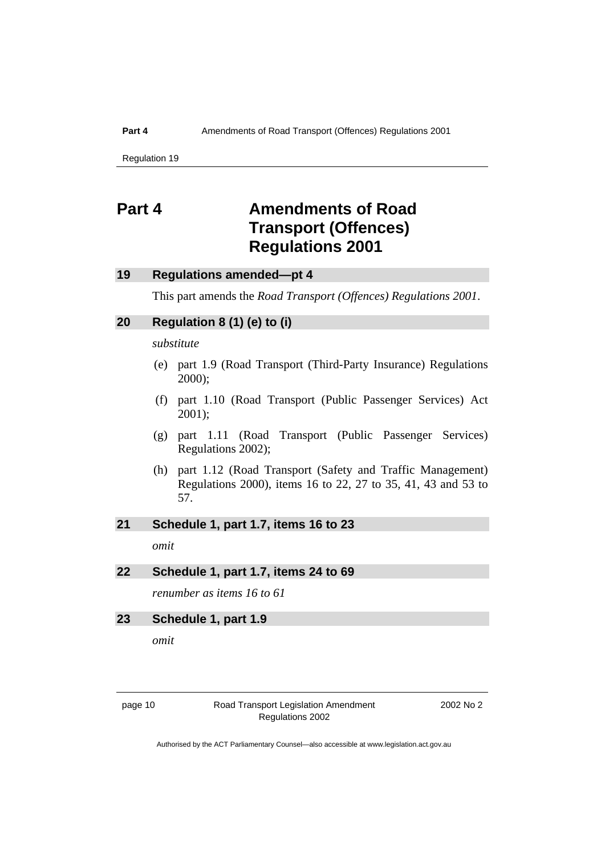Regulation 19

# **Part 4 Amendments of Road Transport (Offences) Regulations 2001**

## **19 Regulations amended—pt 4**

This part amends the *Road Transport (Offences) Regulations 2001*.

### **20 Regulation 8 (1) (e) to (i)**

*substitute* 

- (e) part 1.9 (Road Transport (Third-Party Insurance) Regulations 2000);
- (f) part 1.10 (Road Transport (Public Passenger Services) Act 2001);
- (g) part 1.11 (Road Transport (Public Passenger Services) Regulations 2002);
- (h) part 1.12 (Road Transport (Safety and Traffic Management) Regulations 2000), items 16 to 22, 27 to 35, 41, 43 and 53 to 57.

## **21 Schedule 1, part 1.7, items 16 to 23**

*omit* 

### **22 Schedule 1, part 1.7, items 24 to 69**

*renumber as items 16 to 61* 

### **23 Schedule 1, part 1.9**

*omit* 

page 10 Road Transport Legislation Amendment Regulations 2002

2002 No 2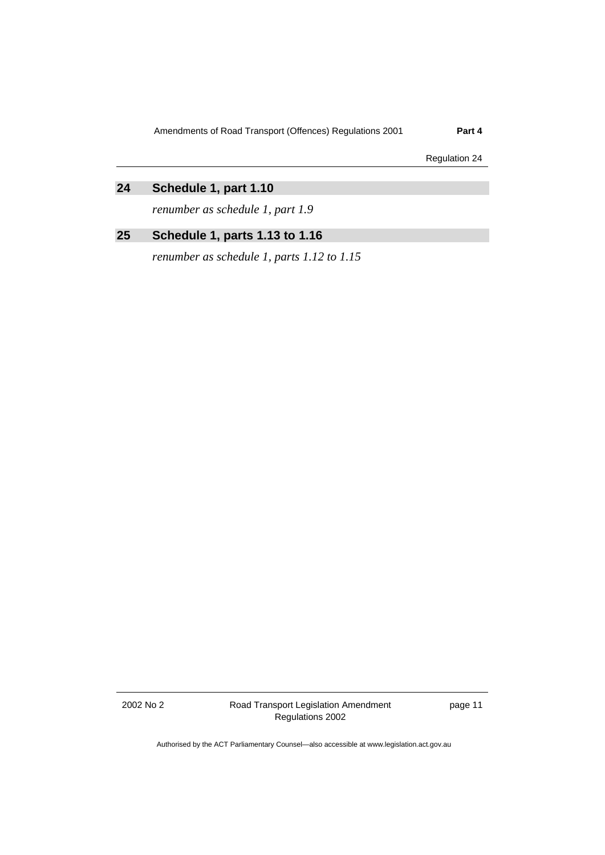Regulation 24

# **24 Schedule 1, part 1.10**

*renumber as schedule 1, part 1.9* 

# **25 Schedule 1, parts 1.13 to 1.16**

*renumber as schedule 1, parts 1.12 to 1.15* 

2002 No 2 Road Transport Legislation Amendment Regulations 2002

page 11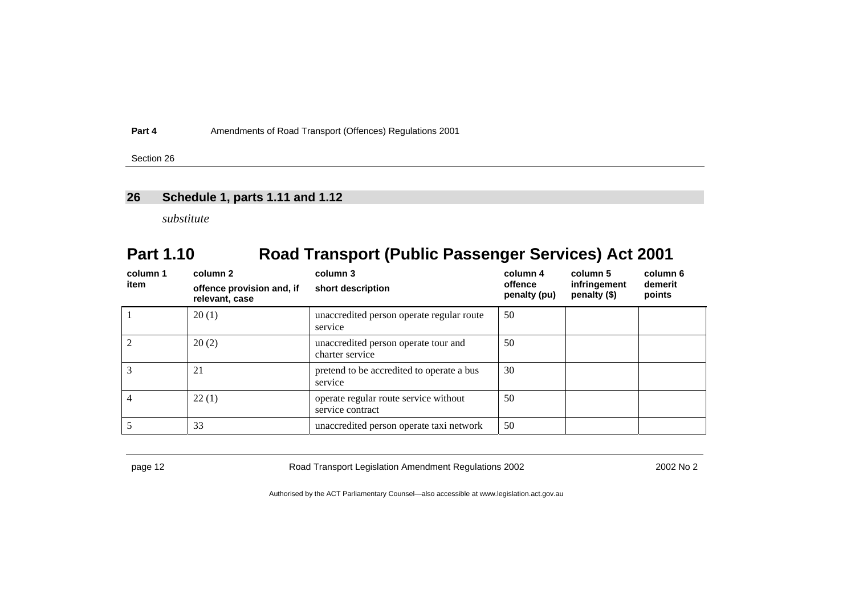Section 26

## **26 Schedule 1, parts 1.11 and 1.12**

*substitute* 

# **Part 1.10 Road Transport (Public Passenger Services) Act 2001**

| column 1<br>item | column 2<br>offence provision and, if | column 3<br>short description                             | column 4<br>offence<br>penalty (pu) | column 5<br>infringement<br>penalty $(\$)$ | column 6<br>demerit<br>points |
|------------------|---------------------------------------|-----------------------------------------------------------|-------------------------------------|--------------------------------------------|-------------------------------|
|                  | relevant, case                        |                                                           |                                     |                                            |                               |
|                  | 20(1)                                 | unaccredited person operate regular route<br>service      | 50                                  |                                            |                               |
|                  | 20(2)                                 | unaccredited person operate tour and<br>charter service   | 50                                  |                                            |                               |
|                  | 21                                    | pretend to be accredited to operate a bus<br>service      | 30                                  |                                            |                               |
|                  | 22(1)                                 | operate regular route service without<br>service contract | 50                                  |                                            |                               |
|                  | 33                                    | unaccredited person operate taxi network                  | 50                                  |                                            |                               |

page 12 Road Transport Legislation Amendment Regulations 2002 2002 No 2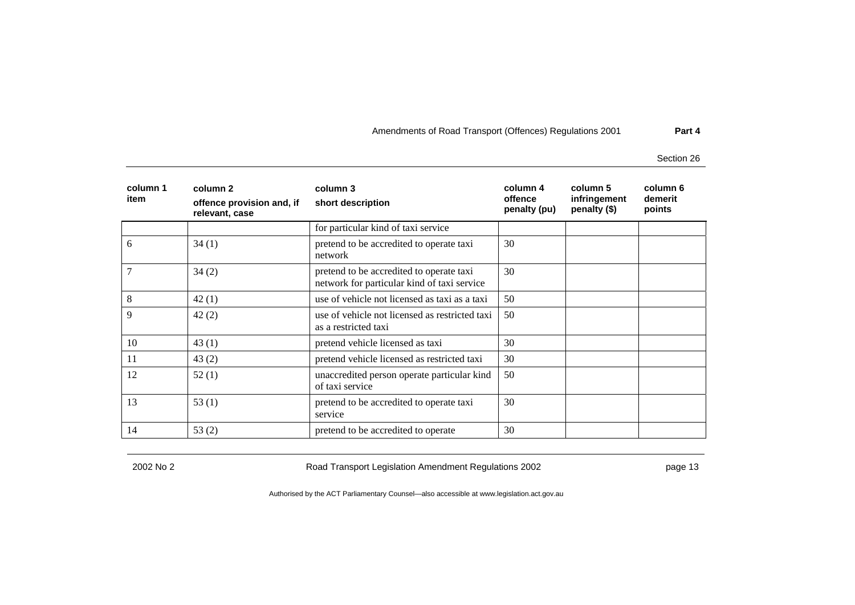Section 26

| column 1<br>item | column 2<br>offence provision and, if<br>relevant, case | column 3<br>short description                                                           | column 4<br>offence<br>penalty (pu) | column 5<br>infringement<br>penalty (\$) | column 6<br>demerit<br>points |
|------------------|---------------------------------------------------------|-----------------------------------------------------------------------------------------|-------------------------------------|------------------------------------------|-------------------------------|
|                  |                                                         | for particular kind of taxi service                                                     |                                     |                                          |                               |
| 6                | 34(1)                                                   | pretend to be accredited to operate taxi<br>network                                     | 30                                  |                                          |                               |
| 7                | 34(2)                                                   | pretend to be accredited to operate taxi<br>network for particular kind of taxi service | 30                                  |                                          |                               |
| 8                | 42(1)                                                   | use of vehicle not licensed as taxi as a taxi                                           | 50                                  |                                          |                               |
| 9                | 42(2)                                                   | use of vehicle not licensed as restricted taxi<br>as a restricted taxi                  | 50                                  |                                          |                               |
| 10               | 43(1)                                                   | pretend vehicle licensed as taxi                                                        | 30                                  |                                          |                               |
| 11               | 43(2)                                                   | pretend vehicle licensed as restricted taxi                                             | 30                                  |                                          |                               |
| 12               | 52(1)                                                   | unaccredited person operate particular kind<br>of taxi service                          | 50                                  |                                          |                               |
| 13               | 53(1)                                                   | pretend to be accredited to operate taxi<br>service                                     | 30                                  |                                          |                               |
| 14               | 53(2)                                                   | pretend to be accredited to operate                                                     | 30                                  |                                          |                               |

2002 No 2 Road Transport Legislation Amendment Regulations 2002 page 13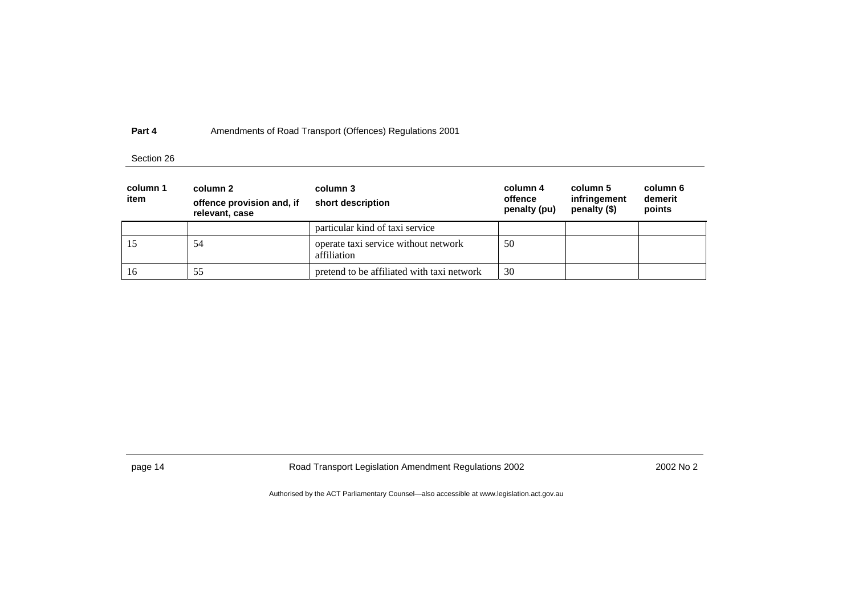### Section 26

| column 1<br>item | column 2<br>offence provision and, if<br>relevant, case | column 3<br>short description                       | column 4<br>offence<br>penalty (pu) | column 5<br>infringement<br>penalty $(\$)$ | column 6<br>demerit<br>points |
|------------------|---------------------------------------------------------|-----------------------------------------------------|-------------------------------------|--------------------------------------------|-------------------------------|
|                  |                                                         | particular kind of taxi service                     |                                     |                                            |                               |
|                  | 54                                                      | operate taxi service without network<br>affiliation | 50                                  |                                            |                               |
| 16               | 55                                                      | pretend to be affiliated with taxi network          | 30                                  |                                            |                               |

page 14 **Road Transport Legislation Amendment Regulations 2002** 2002 No 2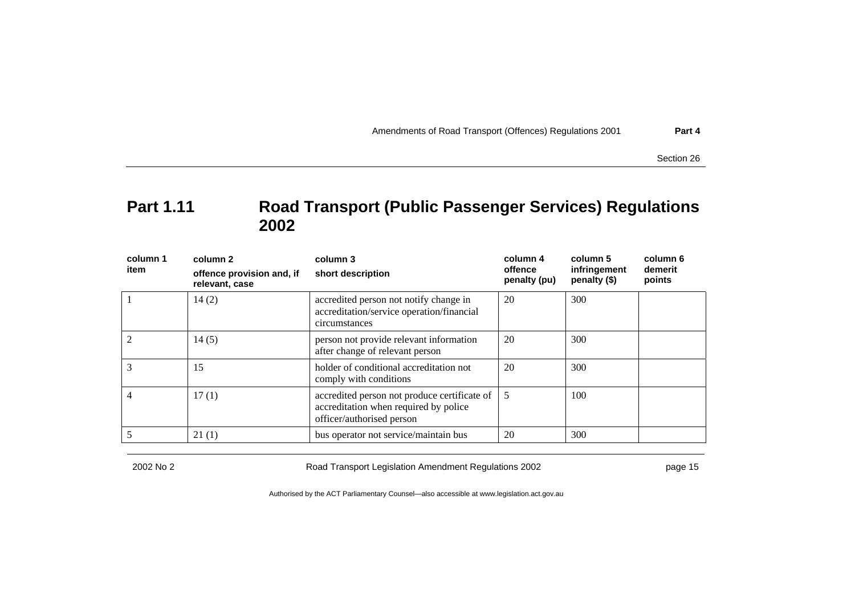Section 26

# **Part 1.11 Road Transport (Public Passenger Services) Regulations 2002**

| column 1<br>item | column 2<br>offence provision and, if<br>relevant, case | column 3<br>short description                                                                                      | column 4                | column 5<br>infringement<br>penalty (\$) | column 6<br>demerit<br>points |
|------------------|---------------------------------------------------------|--------------------------------------------------------------------------------------------------------------------|-------------------------|------------------------------------------|-------------------------------|
|                  |                                                         |                                                                                                                    | offence<br>penalty (pu) |                                          |                               |
|                  | 14(2)                                                   | accredited person not notify change in<br>accreditation/service operation/financial<br>circumstances               | 20                      | 300                                      |                               |
|                  | 14(5)                                                   | person not provide relevant information<br>after change of relevant person                                         | 20                      | 300                                      |                               |
| 3                | 15                                                      | holder of conditional accreditation not<br>comply with conditions                                                  | 20                      | 300                                      |                               |
|                  | 17(1)                                                   | accredited person not produce certificate of<br>accreditation when required by police<br>officer/authorised person | 5                       | 100                                      |                               |
|                  | 21(1)                                                   | bus operator not service/maintain bus                                                                              | 20                      | 300                                      |                               |

2002 No 2 Road Transport Legislation Amendment Regulations 2002 page 15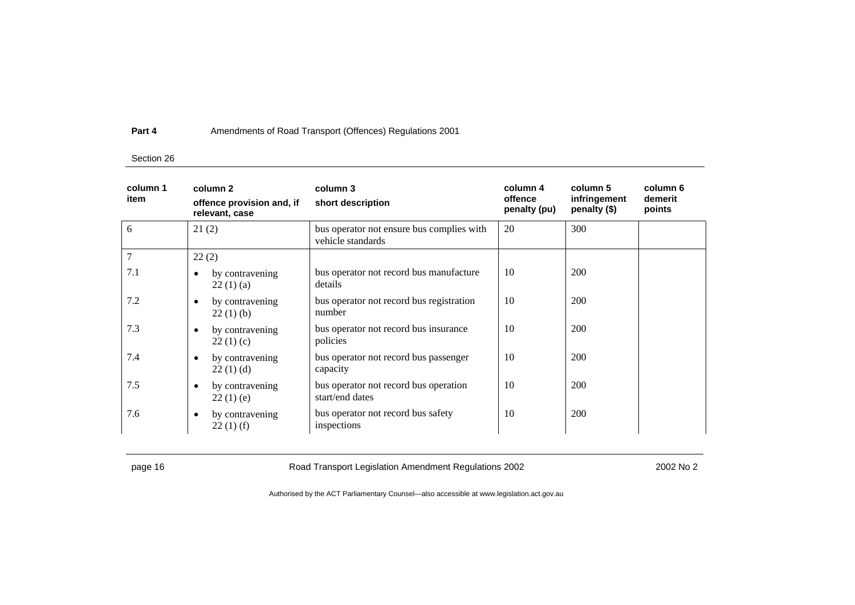### Section 26

| column 1<br>item | column <sub>2</sub><br>offence provision and, if<br>relevant, case | column 3<br>short description                                  | column 4<br>offence<br>penalty (pu) | column 5<br>infringement<br>penalty (\$) | column 6<br>demerit<br>points |
|------------------|--------------------------------------------------------------------|----------------------------------------------------------------|-------------------------------------|------------------------------------------|-------------------------------|
| 6                | 21(2)                                                              | bus operator not ensure bus complies with<br>vehicle standards | 20                                  | 300                                      |                               |
| 7                | 22(2)                                                              |                                                                |                                     |                                          |                               |
| 7.1              | by contravening<br>$\bullet$<br>22(1)(a)                           | bus operator not record bus manufacture<br>details             | 10                                  | <b>200</b>                               |                               |
| 7.2              | by contravening<br>$\bullet$<br>22(1)(b)                           | bus operator not record bus registration<br>number             | 10                                  | 200                                      |                               |
| 7.3              | by contravening<br>$\bullet$<br>22(1)(c)                           | bus operator not record bus insurance<br>policies              | 10                                  | <b>200</b>                               |                               |
| 7.4              | by contravening<br>$\bullet$<br>22(1)(d)                           | bus operator not record bus passenger<br>capacity              | 10                                  | <b>200</b>                               |                               |
| 7.5              | by contravening<br>$\bullet$<br>22(1)(e)                           | bus operator not record bus operation<br>start/end dates       | 10                                  | 200                                      |                               |
| 7.6              | by contravening<br>$\bullet$<br>$22(1)$ (f)                        | bus operator not record bus safety<br>inspections              | 10                                  | 200                                      |                               |

page 16 **Road Transport Legislation Amendment Regulations 2002** 2002 No 2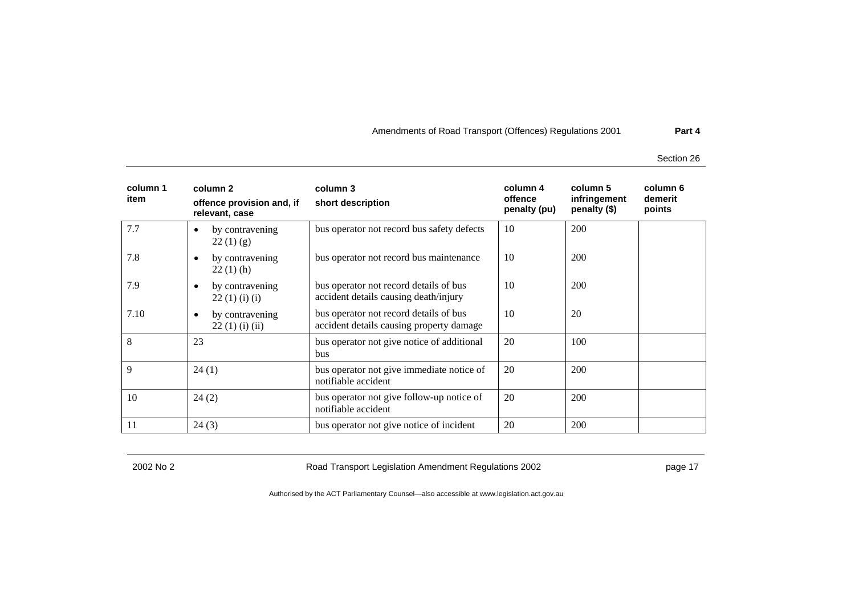Section 26

| column 1<br>item | column 2<br>offence provision and, if<br>relevant, case | column 3<br>short description                                                      | column 4<br>offence<br>penalty (pu) | column 5<br>infringement<br>penalty (\$) | column 6<br>demerit<br>points |
|------------------|---------------------------------------------------------|------------------------------------------------------------------------------------|-------------------------------------|------------------------------------------|-------------------------------|
| 7.7              | by contravening<br>22(1)(g)                             | bus operator not record bus safety defects                                         | 10                                  | 200                                      |                               |
| 7.8              | by contravening<br>$22(1)$ (h)                          | bus operator not record bus maintenance                                            | 10                                  | 200                                      |                               |
| 7.9              | by contravening<br>$\bullet$<br>22(1)(i)(i)             | bus operator not record details of bus<br>accident details causing death/injury    | 10                                  | 200                                      |                               |
| 7.10             | by contravening<br>$\bullet$<br>22(1)(i)(ii)            | bus operator not record details of bus<br>accident details causing property damage | 10                                  | 20                                       |                               |
| 8                | 23                                                      | bus operator not give notice of additional<br>bus                                  | 20                                  | 100                                      |                               |
| 9                | 24(1)                                                   | bus operator not give immediate notice of<br>notifiable accident                   | 20                                  | 200                                      |                               |
| 10               | 24(2)                                                   | bus operator not give follow-up notice of<br>notifiable accident                   | 20                                  | 200                                      |                               |
| 11               | 24(3)                                                   | bus operator not give notice of incident                                           | 20                                  | 200                                      |                               |

2002 No 2 **Road Transport Legislation Amendment Regulations 2002** Page 17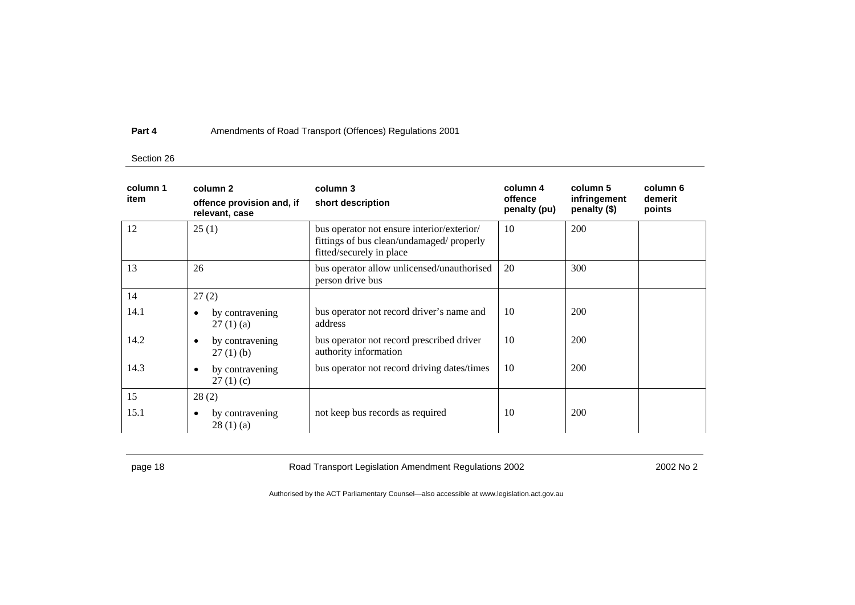### Section 26

| column 1<br>item | column 2<br>offence provision and, if<br>relevant, case | column 3<br>short description                                                                                       | column 4<br>offence<br>penalty (pu) | column 5<br>infringement<br>penalty (\$) | column 6<br>demerit<br>points |
|------------------|---------------------------------------------------------|---------------------------------------------------------------------------------------------------------------------|-------------------------------------|------------------------------------------|-------------------------------|
| 12               | 25(1)                                                   | bus operator not ensure interior/exterior/<br>fittings of bus clean/undamaged/ properly<br>fitted/securely in place | 10                                  | 200                                      |                               |
| 13               | 26                                                      | bus operator allow unlicensed/unauthorised<br>person drive bus                                                      | 20                                  | 300                                      |                               |
| 14               | 27(2)                                                   |                                                                                                                     |                                     |                                          |                               |
| 14.1             | by contravening<br>$\bullet$<br>27(1)(a)                | bus operator not record driver's name and<br>address                                                                | 10                                  | 200                                      |                               |
| 14.2             | by contravening<br>$\bullet$<br>$27(1)$ (b)             | bus operator not record prescribed driver<br>authority information                                                  | 10                                  | 200                                      |                               |
| 14.3             | by contravening<br>$\bullet$<br>27(1)(c)                | bus operator not record driving dates/times                                                                         | 10                                  | 200                                      |                               |
| 15               | 28(2)                                                   |                                                                                                                     |                                     |                                          |                               |
| 15.1             | by contravening<br>$\bullet$<br>28(1)(a)                | not keep bus records as required                                                                                    | 10                                  | 200                                      |                               |

page 18 **Road Transport Legislation Amendment Regulations 2002** 2002 No 2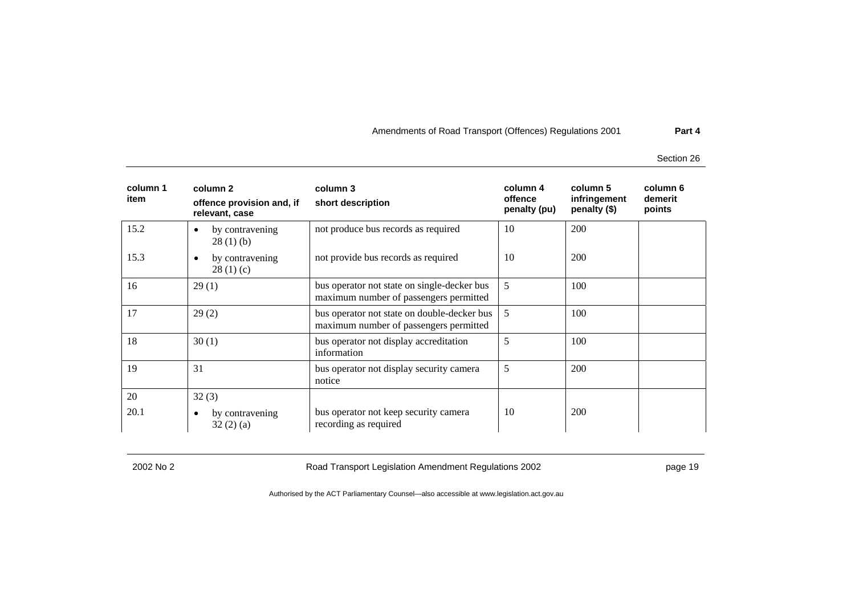Section 26

| column 1<br>item | column 2<br>offence provision and, if<br>relevant, case | column 3<br>short description                                                         | column 4<br>offence<br>penalty (pu) | column 5<br>infringement<br>penalty (\$) | column 6<br>demerit<br>points |
|------------------|---------------------------------------------------------|---------------------------------------------------------------------------------------|-------------------------------------|------------------------------------------|-------------------------------|
| 15.2             | by contravening<br>$\bullet$<br>28(1)(b)                | not produce bus records as required                                                   | 10                                  | 200                                      |                               |
| 15.3             | by contravening<br>$\bullet$<br>28(1)(c)                | not provide bus records as required                                                   | 10                                  | 200                                      |                               |
| 16               | 29(1)                                                   | bus operator not state on single-decker bus<br>maximum number of passengers permitted | 5                                   | 100                                      |                               |
| 17               | 29(2)                                                   | bus operator not state on double-decker bus<br>maximum number of passengers permitted | 5                                   | 100                                      |                               |
| 18               | 30(1)                                                   | bus operator not display accreditation<br>information                                 | 5                                   | 100                                      |                               |
| 19               | 31                                                      | bus operator not display security camera<br>notice                                    | 5                                   | 200                                      |                               |
| 20               | 32(3)                                                   |                                                                                       |                                     |                                          |                               |
| 20.1             | by contravening<br>$\bullet$<br>32(2)(a)                | bus operator not keep security camera<br>recording as required                        | 10                                  | 200                                      |                               |

2002 No 2 Road Transport Legislation Amendment Regulations 2002 page 19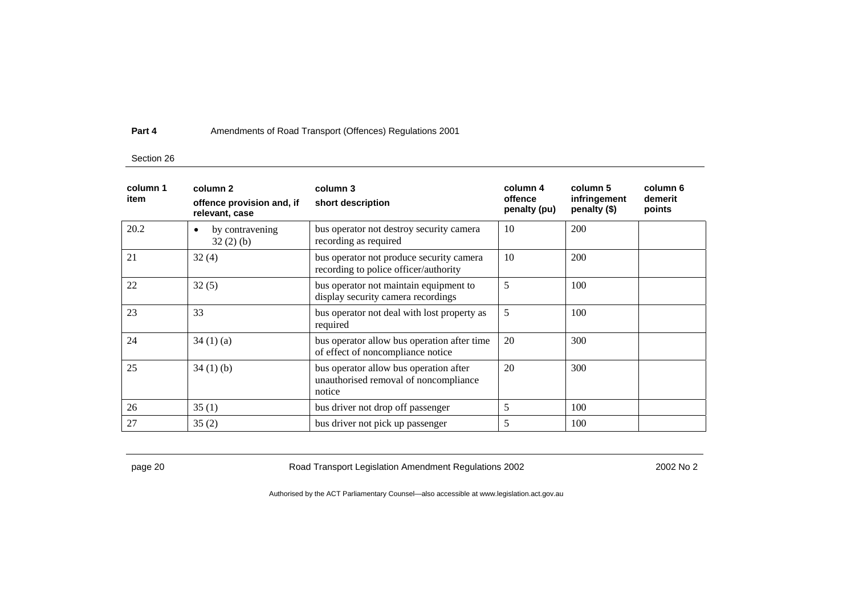### Section 26

| column 1<br>item | column 2<br>offence provision and, if<br>relevant, case | column 3<br>short description                                                             | column 4<br>offence<br>penalty (pu) | column 5<br>infringement<br>penalty (\$) | column 6<br>demerit<br>points |
|------------------|---------------------------------------------------------|-------------------------------------------------------------------------------------------|-------------------------------------|------------------------------------------|-------------------------------|
| 20.2             | by contravening<br>$\bullet$<br>32(2)(b)                | bus operator not destroy security camera<br>recording as required                         | 10                                  | 200                                      |                               |
| 21               | 32(4)                                                   | bus operator not produce security camera<br>recording to police officer/authority         | 10                                  | 200                                      |                               |
| 22               | 32(5)                                                   | bus operator not maintain equipment to<br>display security camera recordings              | 5                                   | 100                                      |                               |
| 23               | 33                                                      | bus operator not deal with lost property as<br>required                                   | 5                                   | 100                                      |                               |
| 24               | 34(1)(a)                                                | bus operator allow bus operation after time<br>of effect of noncompliance notice          | 20                                  | 300                                      |                               |
| 25               | 34(1)(b)                                                | bus operator allow bus operation after<br>unauthorised removal of noncompliance<br>notice | 20                                  | 300                                      |                               |
| 26               | 35(1)                                                   | bus driver not drop off passenger                                                         | 5                                   | 100                                      |                               |
| 27               | 35(2)                                                   | bus driver not pick up passenger                                                          | 5                                   | 100                                      |                               |

page 20 **Road Transport Legislation Amendment Regulations 2002** 2002 No 2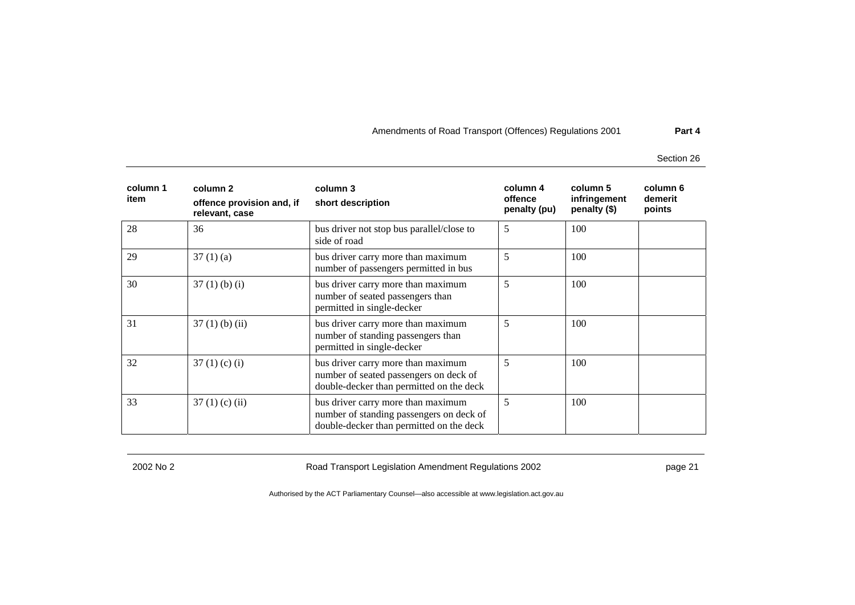Section 26

| column 1<br>item | column 2<br>offence provision and, if<br>relevant, case | column 3<br>short description                                                                                              | column 4<br>offence<br>penalty (pu) | column 5<br>infringement<br>penalty (\$) | column 6<br>demerit<br>points |
|------------------|---------------------------------------------------------|----------------------------------------------------------------------------------------------------------------------------|-------------------------------------|------------------------------------------|-------------------------------|
| 28               | 36                                                      | bus driver not stop bus parallel/close to<br>side of road                                                                  | 5                                   | 100                                      |                               |
| 29               | 37(1)(a)                                                | bus driver carry more than maximum<br>number of passengers permitted in bus                                                | 5                                   | 100                                      |                               |
| 30               | $37(1)$ (b) (i)                                         | bus driver carry more than maximum<br>number of seated passengers than<br>permitted in single-decker                       | 5                                   | 100                                      |                               |
| 31               | $37(1)$ (b) (ii)                                        | bus driver carry more than maximum<br>number of standing passengers than<br>permitted in single-decker                     | 5                                   | 100                                      |                               |
| 32               | $37(1)$ (c) (i)                                         | bus driver carry more than maximum<br>number of seated passengers on deck of<br>double-decker than permitted on the deck   | 5                                   | 100                                      |                               |
| 33               | $37(1)$ (c) (ii)                                        | bus driver carry more than maximum<br>number of standing passengers on deck of<br>double-decker than permitted on the deck | 5                                   | 100                                      |                               |

2002 No 2 Road Transport Legislation Amendment Regulations 2002 page 21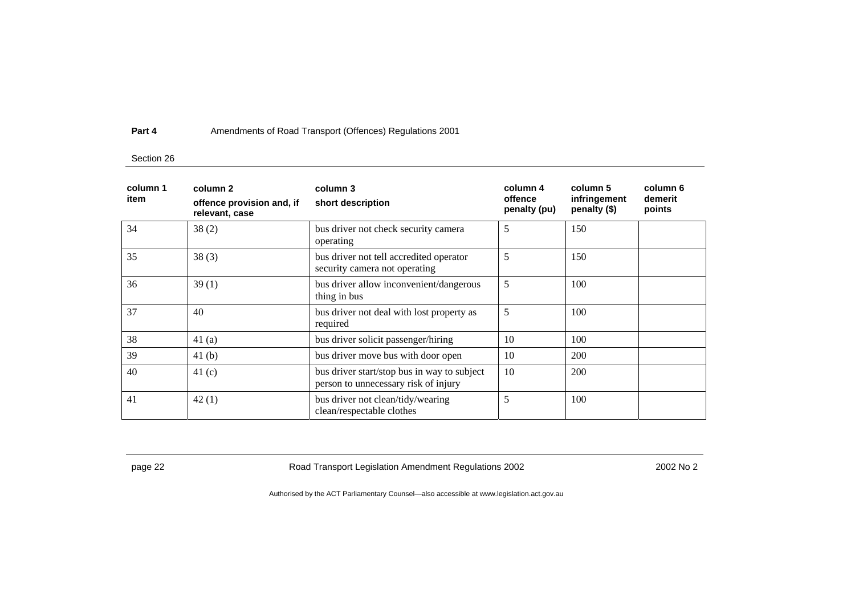### Section 26

| column 1<br>item | column 2<br>offence provision and, if<br>relevant, case | column 3<br>short description                                                       | column 4<br>offence<br>penalty (pu) | column 5<br>infringement<br>penalty (\$) | column 6<br>demerit<br>points |
|------------------|---------------------------------------------------------|-------------------------------------------------------------------------------------|-------------------------------------|------------------------------------------|-------------------------------|
| 34               | 38(2)                                                   | bus driver not check security camera<br>operating                                   | 5                                   | 150                                      |                               |
| 35               | 38(3)                                                   | bus driver not tell accredited operator<br>security camera not operating            | 5                                   | 150                                      |                               |
| 36               | 39(1)                                                   | bus driver allow inconvenient/dangerous<br>thing in bus                             | 5                                   | 100                                      |                               |
| 37               | 40                                                      | bus driver not deal with lost property as<br>required                               | 5                                   | 100                                      |                               |
| 38               | 41(a)                                                   | bus driver solicit passenger/hiring                                                 | 10                                  | 100                                      |                               |
| 39               | 41(b)                                                   | bus driver move bus with door open                                                  | 10                                  | 200                                      |                               |
| 40               | 41 $(c)$                                                | bus driver start/stop bus in way to subject<br>person to unnecessary risk of injury | 10                                  | 200                                      |                               |
| 41               | 42(1)                                                   | bus driver not clean/tidy/wearing<br>clean/respectable clothes                      | 5                                   | 100                                      |                               |

page 22 **Road Transport Legislation Amendment Regulations 2002** 2002 No 2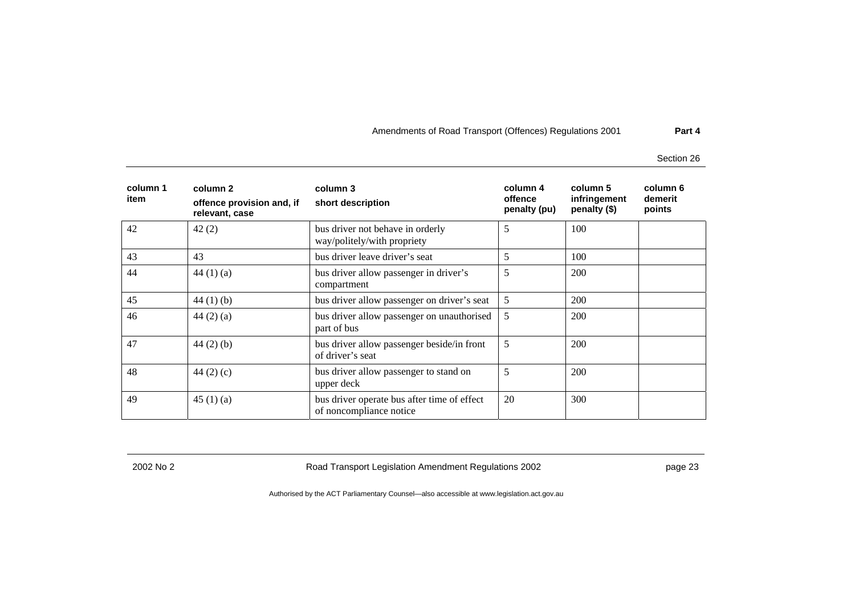Section 26

| column 1<br>item | column 2<br>offence provision and, if<br>relevant, case | column 3<br>short description                                          | column 4<br>offence<br>penalty (pu) | column 5<br>infringement<br>penalty (\$) | column 6<br>demerit<br>points |
|------------------|---------------------------------------------------------|------------------------------------------------------------------------|-------------------------------------|------------------------------------------|-------------------------------|
| 42               | 42(2)                                                   | bus driver not behave in orderly<br>way/politely/with propriety        | 5                                   | 100                                      |                               |
| 43               | 43                                                      | bus driver leave driver's seat                                         | 5                                   | 100                                      |                               |
| 44               | 44 $(1)(a)$                                             | bus driver allow passenger in driver's<br>compartment                  | 5                                   | 200                                      |                               |
| 45               | 44 $(1)$ $(b)$                                          | bus driver allow passenger on driver's seat                            | 5                                   | <b>200</b>                               |                               |
| 46               | 44 $(2)$ $(a)$                                          | bus driver allow passenger on unauthorised<br>part of bus              | 5                                   | 200                                      |                               |
| 47               | $44(2)$ (b)                                             | bus driver allow passenger beside/in front<br>of driver's seat         | 5                                   | 200                                      |                               |
| 48               | 44 $(2)$ $(c)$                                          | bus driver allow passenger to stand on<br>upper deck                   | 5                                   | 200                                      |                               |
| 49               | 45(1)(a)                                                | bus driver operate bus after time of effect<br>of noncompliance notice | 20                                  | 300                                      |                               |

2002 No 2 Road Transport Legislation Amendment Regulations 2002 page 23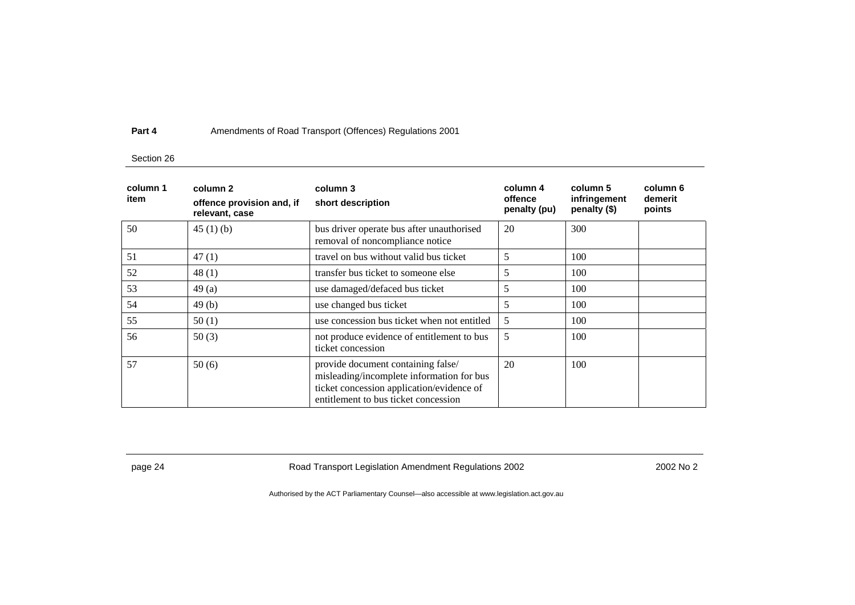### Section 26

| column 1<br>item | column 2<br>offence provision and, if<br>relevant, case | column 3<br>short description                                                                                                                                        | column 4<br>offence<br>penalty (pu) | column 5<br>infringement<br>penalty (\$) | column 6<br>demerit<br>points |
|------------------|---------------------------------------------------------|----------------------------------------------------------------------------------------------------------------------------------------------------------------------|-------------------------------------|------------------------------------------|-------------------------------|
| 50               | 45(1)(b)                                                | bus driver operate bus after unauthorised<br>removal of noncompliance notice                                                                                         | 20                                  | 300                                      |                               |
| 51               | 47(1)                                                   | travel on bus without valid bus ticket                                                                                                                               | 5                                   | 100                                      |                               |
| 52               | 48(1)                                                   | transfer bus ticket to someone else                                                                                                                                  | 5                                   | 100                                      |                               |
| 53               | 49(a)                                                   | use damaged/defaced bus ticket                                                                                                                                       | 5                                   | 100                                      |                               |
| 54               | 49(b)                                                   | use changed bus ticket                                                                                                                                               | 5                                   | 100                                      |                               |
| 55               | 50(1)                                                   | use concession bus ticket when not entitled                                                                                                                          | 5                                   | 100                                      |                               |
| 56               | 50(3)                                                   | not produce evidence of entitlement to bus<br>ticket concession                                                                                                      | 5                                   | 100                                      |                               |
| 57               | 50(6)                                                   | provide document containing false/<br>misleading/incomplete information for bus<br>ticket concession application/evidence of<br>entitlement to bus ticket concession | 20                                  | 100                                      |                               |

page 24 **Road Transport Legislation Amendment Regulations 2002** 2002 No 2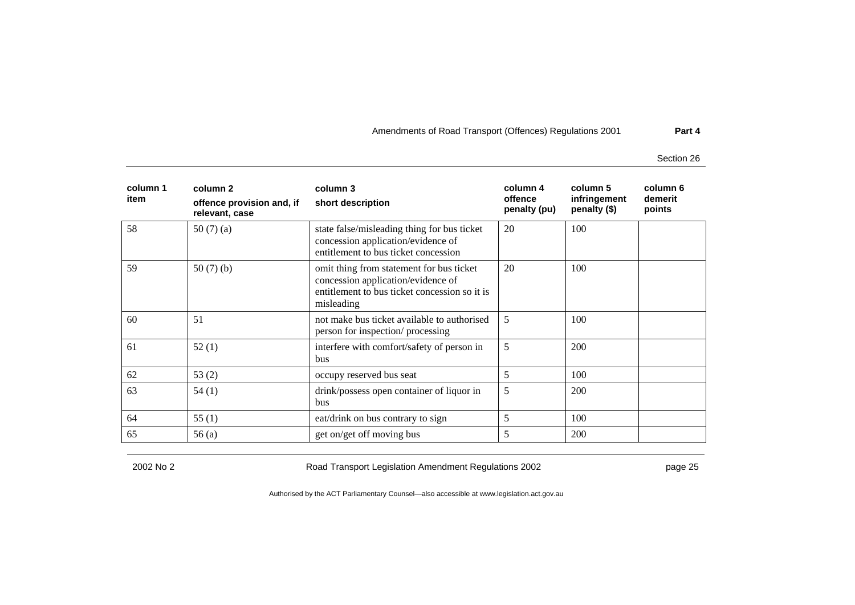Section 26

| column 1<br>item | column 2<br>offence provision and, if<br>relevant, case | column 3<br>short description                                                                                                                 | column 4<br>offence<br>penalty (pu) | column 5<br>infringement<br>penalty (\$) | column 6<br>demerit<br>points |
|------------------|---------------------------------------------------------|-----------------------------------------------------------------------------------------------------------------------------------------------|-------------------------------------|------------------------------------------|-------------------------------|
| 58               | 50(7)(a)                                                | state false/misleading thing for bus ticket<br>concession application/evidence of<br>entitlement to bus ticket concession                     | 20                                  | 100                                      |                               |
| 59               | 50 $(7)$ $(b)$                                          | omit thing from statement for bus ticket<br>concession application/evidence of<br>entitlement to bus ticket concession so it is<br>misleading | 20                                  | 100                                      |                               |
| 60               | 51                                                      | not make bus ticket available to authorised<br>person for inspection/ processing                                                              | 5                                   | 100                                      |                               |
| 61               | 52(1)                                                   | interfere with comfort/safety of person in<br>bus                                                                                             | 5                                   | <b>200</b>                               |                               |
| 62               | 53 $(2)$                                                | occupy reserved bus seat                                                                                                                      | 5                                   | 100                                      |                               |
| 63               | 54(1)                                                   | drink/possess open container of liquor in<br>bus                                                                                              | 5                                   | <b>200</b>                               |                               |
| 64               | 55(1)                                                   | eat/drink on bus contrary to sign                                                                                                             | 5                                   | 100                                      |                               |
| 65               | 56(a)                                                   | get on/get off moving bus                                                                                                                     | 5                                   | 200                                      |                               |

2002 No 2 Road Transport Legislation Amendment Regulations 2002 page 25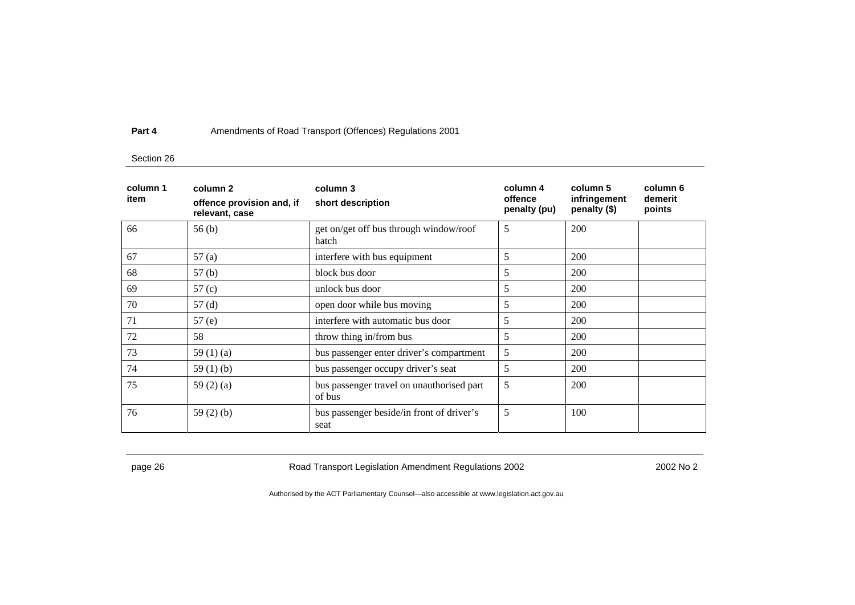### Section 26

| column 1<br>item | column 2<br>offence provision and, if<br>relevant, case | column 3<br>short description                       | column 4<br>offence<br>penalty (pu) | column 5<br>infringement<br>penalty (\$) | column 6<br>demerit<br>points |
|------------------|---------------------------------------------------------|-----------------------------------------------------|-------------------------------------|------------------------------------------|-------------------------------|
| 66               | 56(b)                                                   | get on/get off bus through window/roof<br>hatch     | 5                                   | 200                                      |                               |
| 67               | 57(a)                                                   | interfere with bus equipment                        | 5                                   | 200                                      |                               |
| 68               | 57 <sub>(b)</sub>                                       | block bus door                                      | 5                                   | 200                                      |                               |
| 69               | 57 <sub>(c)</sub>                                       | unlock bus door                                     | 5                                   | 200                                      |                               |
| 70               | 57(d)                                                   | open door while bus moving                          | 5                                   | 200                                      |                               |
| 71               | 57(e)                                                   | interfere with automatic bus door                   | 5                                   | 200                                      |                               |
| 72               | 58                                                      | throw thing in/from bus                             | 5                                   | 200                                      |                               |
| 73               | 59 $(1)(a)$                                             | bus passenger enter driver's compartment            | 5                                   | 200                                      |                               |
| 74               | 59 $(1)(b)$                                             | bus passenger occupy driver's seat                  | 5                                   | 200                                      |                               |
| 75               | 59 $(2)$ $(a)$                                          | bus passenger travel on unauthorised part<br>of bus | 5                                   | 200                                      |                               |
| 76               | 59 $(2)$ $(b)$                                          | bus passenger beside/in front of driver's<br>seat   | 5                                   | 100                                      |                               |

page 26 **Road Transport Legislation Amendment Regulations 2002** 2002 No 2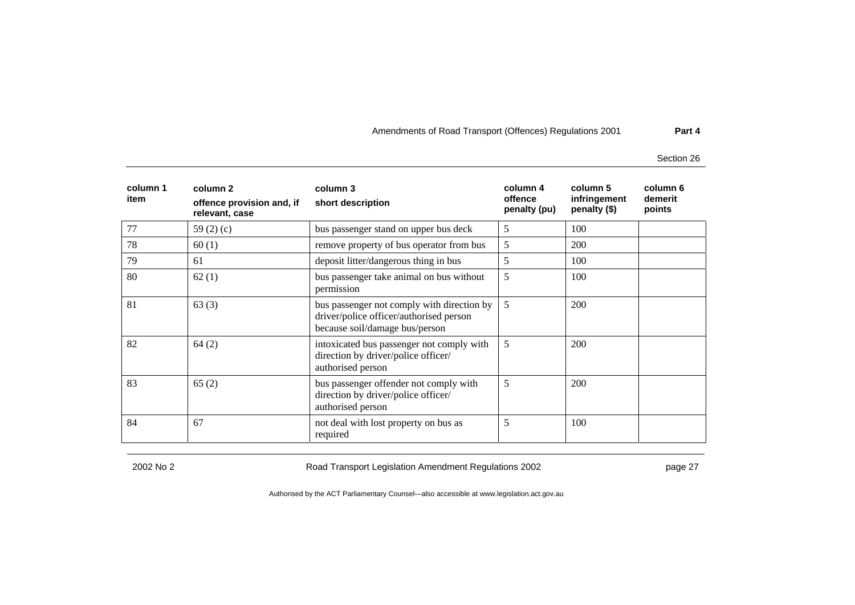Section 26

| column 1<br>item | column 2<br>offence provision and, if<br>relevant, case | column 3<br>short description                                                                                           | column 4<br>offence<br>penalty (pu) | column 5<br>infringement<br>penalty (\$) | column 6<br>demerit<br>points |
|------------------|---------------------------------------------------------|-------------------------------------------------------------------------------------------------------------------------|-------------------------------------|------------------------------------------|-------------------------------|
| 77               | 59 $(2)(c)$                                             | bus passenger stand on upper bus deck                                                                                   | 5                                   | 100                                      |                               |
| 78               | 60(1)                                                   | remove property of bus operator from bus                                                                                | 5                                   | <b>200</b>                               |                               |
| 79               | 61                                                      | deposit litter/dangerous thing in bus                                                                                   | 5                                   | 100                                      |                               |
| 80               | 62(1)                                                   | bus passenger take animal on bus without<br>permission                                                                  | 5                                   | 100                                      |                               |
| 81               | 63(3)                                                   | bus passenger not comply with direction by<br>driver/police officer/authorised person<br>because soil/damage bus/person | 5                                   | 200                                      |                               |
| 82               | 64(2)                                                   | intoxicated bus passenger not comply with<br>direction by driver/police officer/<br>authorised person                   | 5                                   | 200                                      |                               |
| 83               | 65(2)                                                   | bus passenger offender not comply with<br>direction by driver/police officer/<br>authorised person                      | 5                                   | 200                                      |                               |
| 84               | 67                                                      | not deal with lost property on bus as<br>required                                                                       | 5                                   | 100                                      |                               |

2002 No 2 Road Transport Legislation Amendment Regulations 2002 page 27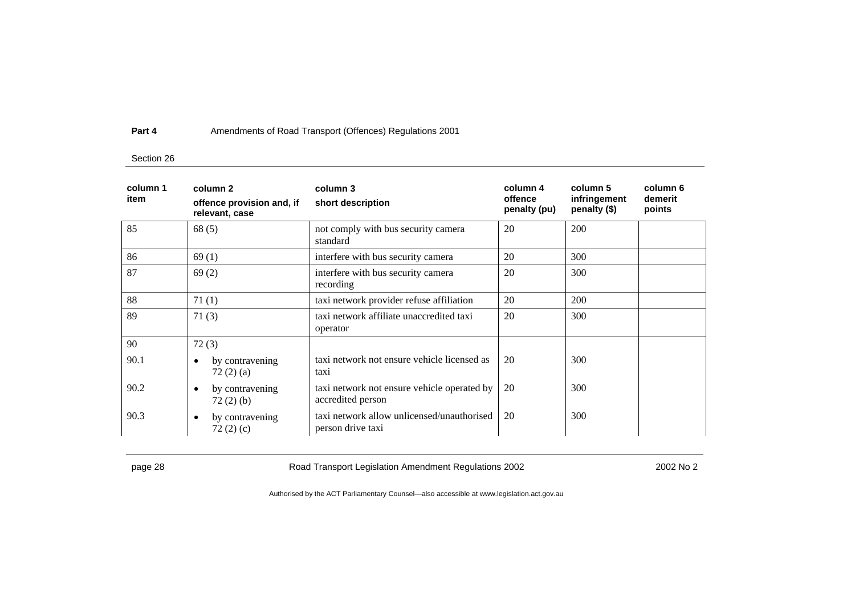### Section 26

| column 1<br>item | column 2<br>offence provision and, if<br>relevant, case | column 3<br>short description                                    | column 4<br>offence<br>penalty (pu) | column 5<br>infringement<br>penalty (\$) | column 6<br>demerit<br>points |
|------------------|---------------------------------------------------------|------------------------------------------------------------------|-------------------------------------|------------------------------------------|-------------------------------|
| 85               | 68(5)                                                   | not comply with bus security camera<br>standard                  | 20                                  | 200                                      |                               |
| 86               | 69(1)                                                   | interfere with bus security camera                               | 20                                  | 300                                      |                               |
| 87               | 69(2)                                                   | interfere with bus security camera<br>recording                  | 20                                  | 300                                      |                               |
| 88               | 71(1)                                                   | taxi network provider refuse affiliation                         | 20                                  | 200                                      |                               |
| 89               | 71(3)                                                   | taxi network affiliate unaccredited taxi<br>operator             | 20                                  | 300                                      |                               |
| 90               | 72(3)                                                   |                                                                  |                                     |                                          |                               |
| 90.1             | by contravening<br>٠<br>72(2)(a)                        | taxi network not ensure vehicle licensed as<br>taxi              | 20                                  | 300                                      |                               |
| 90.2             | by contravening<br>٠<br>72(2)(b)                        | taxi network not ensure vehicle operated by<br>accredited person | 20                                  | 300                                      |                               |
| 90.3             | by contravening<br>$\bullet$<br>72(2)(c)                | taxi network allow unlicensed/unauthorised<br>person drive taxi  | 20                                  | 300                                      |                               |

page 28 **Road Transport Legislation Amendment Regulations 2002** 2002 No 2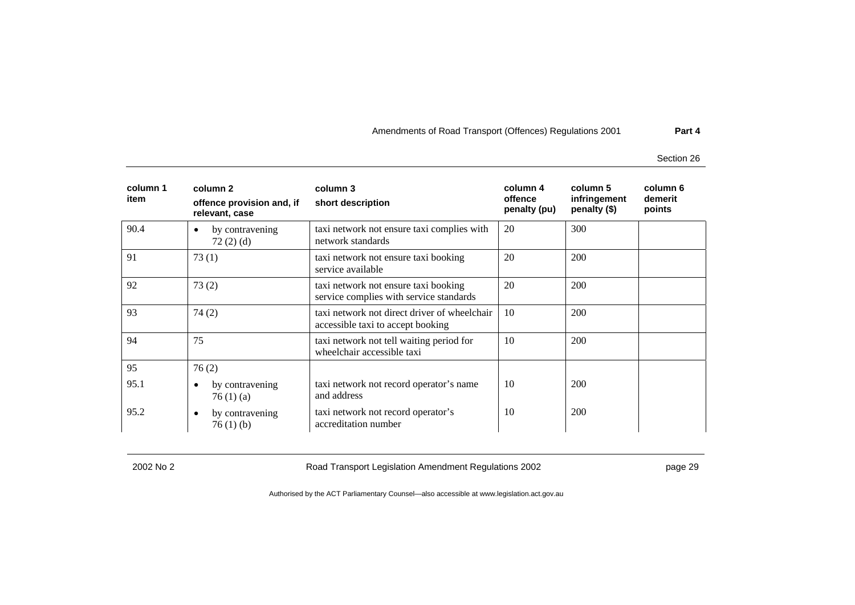Section 26

| column 1<br>item | column 2<br>offence provision and, if<br>relevant, case | column 3<br>short description                                                     | column 4<br>offence<br>penalty (pu) | column 5<br>infringement<br>penalty (\$) | column 6<br>demerit<br>points |
|------------------|---------------------------------------------------------|-----------------------------------------------------------------------------------|-------------------------------------|------------------------------------------|-------------------------------|
| 90.4             | by contravening<br>$\bullet$<br>72(2)(d)                | taxi network not ensure taxi complies with<br>network standards                   | 20                                  | 300                                      |                               |
| 91               | 73(1)                                                   | taxi network not ensure taxi booking<br>service available                         | 20                                  | 200                                      |                               |
| 92               | 73(2)                                                   | taxi network not ensure taxi booking<br>service complies with service standards   | 20                                  | 200                                      |                               |
| 93               | 74(2)                                                   | taxi network not direct driver of wheelchair<br>accessible taxi to accept booking | 10                                  | 200                                      |                               |
| 94               | 75                                                      | taxi network not tell waiting period for<br>wheelchair accessible taxi            | 10                                  | 200                                      |                               |
| 95               | 76(2)                                                   |                                                                                   |                                     |                                          |                               |
| 95.1             | by contravening<br>$\bullet$<br>76(1)(a)                | taxi network not record operator's name<br>and address                            | 10                                  | 200                                      |                               |
| 95.2             | by contravening<br>$\bullet$<br>76(1)(b)                | taxi network not record operator's<br>accreditation number                        | 10                                  | 200                                      |                               |

2002 No 2 Road Transport Legislation Amendment Regulations 2002 page 29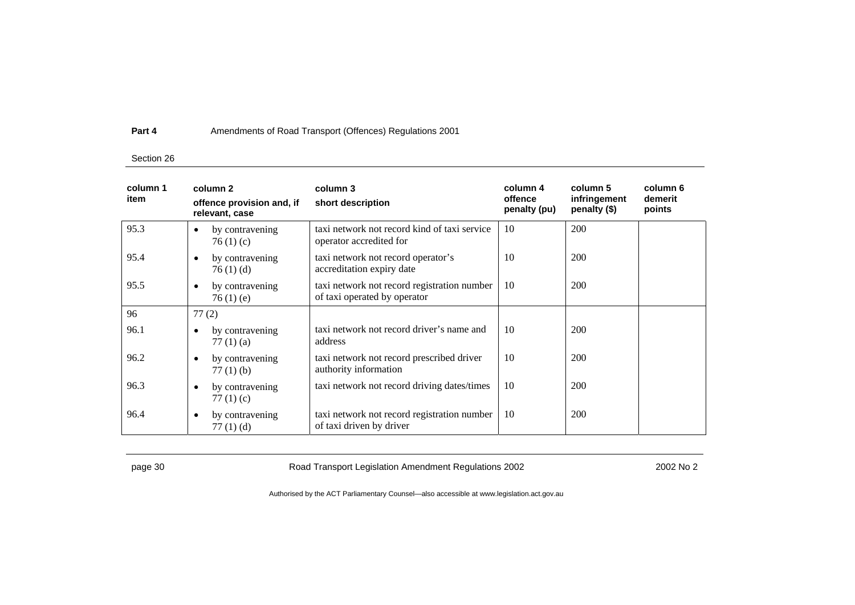### Section 26

| column 1<br>item | column 2<br>offence provision and, if<br>relevant, case | column 3<br>short description                                               | column 4<br>offence<br>penalty (pu) | column 5<br>infringement<br>penalty (\$) | column 6<br>demerit<br>points |
|------------------|---------------------------------------------------------|-----------------------------------------------------------------------------|-------------------------------------|------------------------------------------|-------------------------------|
| 95.3             | by contravening<br>$\bullet$<br>76(1)(c)                | taxi network not record kind of taxi service<br>operator accredited for     | 10                                  | 200                                      |                               |
| 95.4             | by contravening<br>$\bullet$<br>76(1)(d)                | taxi network not record operator's<br>accreditation expiry date             | 10                                  | 200                                      |                               |
| 95.5             | by contravening<br>$\bullet$<br>76(1)(e)                | taxi network not record registration number<br>of taxi operated by operator | 10                                  | 200                                      |                               |
| 96               | 77(2)                                                   |                                                                             |                                     |                                          |                               |
| 96.1             | by contravening<br>$\bullet$<br>77 $(1)$ $(a)$          | taxi network not record driver's name and<br>address                        | 10                                  | 200                                      |                               |
| 96.2             | by contravening<br>$\bullet$<br>$77(1)$ (b)             | taxi network not record prescribed driver<br>authority information          | 10                                  | 200                                      |                               |
| 96.3             | by contravening<br>$\bullet$<br>77 $(1)$ $(c)$          | taxi network not record driving dates/times                                 | 10                                  | 200                                      |                               |
| 96.4             | by contravening<br>$\bullet$<br>77 $(1)$ $(d)$          | taxi network not record registration number<br>of taxi driven by driver     | 10                                  | 200                                      |                               |

page 30 **Road Transport Legislation Amendment Regulations 2002** 2002 No 2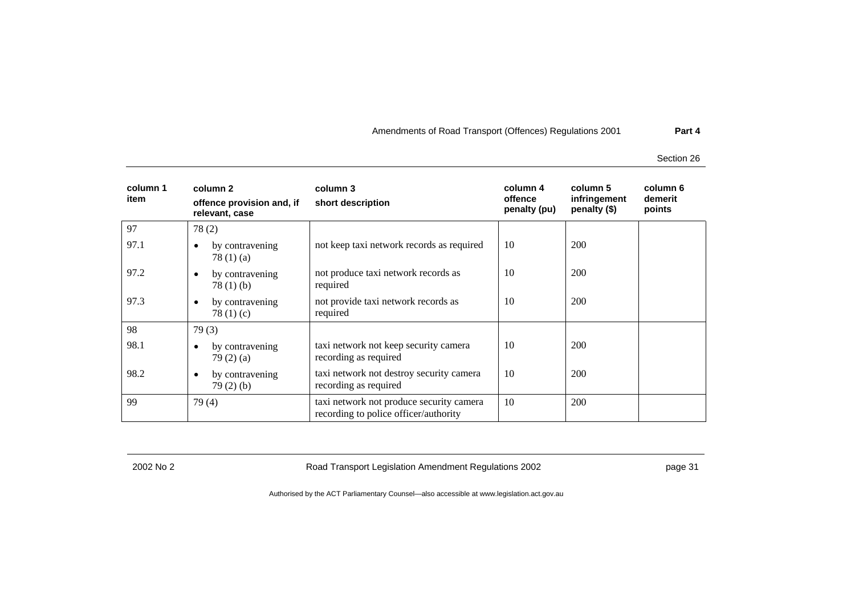Section 26

| column 1<br>item | column 2<br>offence provision and, if<br>relevant, case | column 3<br>short description                                                     | column 4<br>offence<br>penalty (pu) | column 5<br>infringement<br>penalty (\$) | column 6<br>demerit<br>points |
|------------------|---------------------------------------------------------|-----------------------------------------------------------------------------------|-------------------------------------|------------------------------------------|-------------------------------|
| 97               | 78(2)                                                   |                                                                                   |                                     |                                          |                               |
| 97.1             | by contravening<br>$\bullet$<br>78 $(1)$ $(a)$          | not keep taxi network records as required                                         | 10                                  | 200                                      |                               |
| 97.2             | by contravening<br>$\bullet$<br>78(1)(b)                | not produce taxi network records as<br>required                                   | 10                                  | 200                                      |                               |
| 97.3             | by contravening<br>$\bullet$<br>78 $(1)(c)$             | not provide taxi network records as<br>required                                   | 10                                  | 200                                      |                               |
| 98               | 79(3)                                                   |                                                                                   |                                     |                                          |                               |
| 98.1             | by contravening<br>$\bullet$<br>79(2)(a)                | taxi network not keep security camera<br>recording as required                    | 10                                  | 200                                      |                               |
| 98.2             | by contravening<br>$\bullet$<br>79(2)(b)                | taxi network not destroy security camera<br>recording as required                 | 10                                  | 200                                      |                               |
| 99               | 79(4)                                                   | taxi network not produce security camera<br>recording to police officer/authority | 10                                  | 200                                      |                               |

2002 No 2 Road Transport Legislation Amendment Regulations 2002 page 31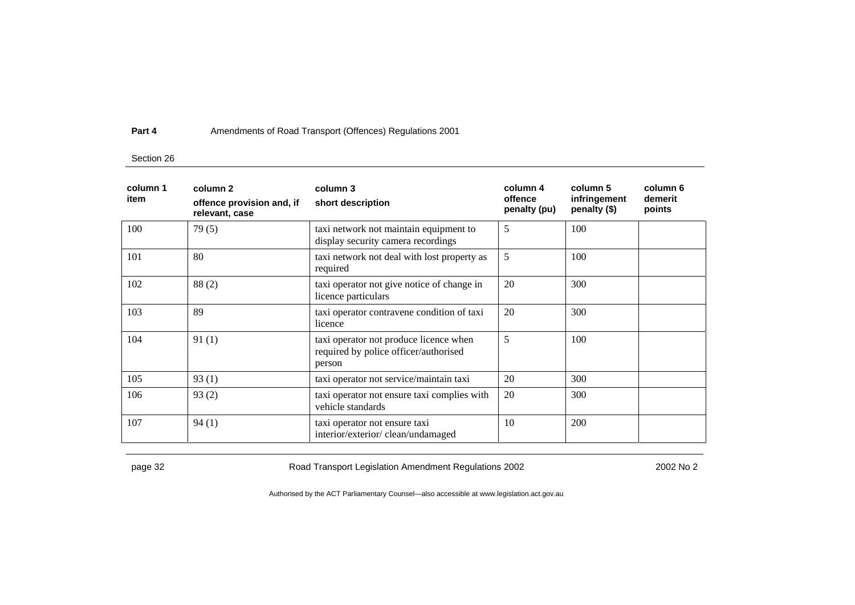### Section 26

| column 1<br>item | column 2<br>offence provision and, if<br>relevant, case | column 3<br>short description                                                             | column 4<br>offence<br>penalty (pu) | column 5<br>infringement<br>penalty (\$) | column 6<br>demerit<br>points |
|------------------|---------------------------------------------------------|-------------------------------------------------------------------------------------------|-------------------------------------|------------------------------------------|-------------------------------|
| 100              | 79(5)                                                   | taxi network not maintain equipment to<br>display security camera recordings              | 5                                   | 100                                      |                               |
| 101              | 80                                                      | taxi network not deal with lost property as<br>required                                   | 5                                   | 100                                      |                               |
| 102              | 88(2)                                                   | taxi operator not give notice of change in<br>licence particulars                         | 20                                  | 300                                      |                               |
| 103              | 89                                                      | taxi operator contravene condition of taxi<br>licence                                     | 20                                  | 300                                      |                               |
| 104              | 91(1)                                                   | taxi operator not produce licence when<br>required by police officer/authorised<br>person | 5                                   | 100                                      |                               |
| 105              | 93(1)                                                   | taxi operator not service/maintain taxi                                                   | 20                                  | 300                                      |                               |
| 106              | 93(2)                                                   | taxi operator not ensure taxi complies with<br>vehicle standards                          | 20                                  | 300                                      |                               |
| 107              | 94(1)                                                   | taxi operator not ensure taxi<br>interior/exterior/clean/undamaged                        | 10                                  | 200                                      |                               |

page 32 **Road Transport Legislation Amendment Regulations 2002** 2002 No 2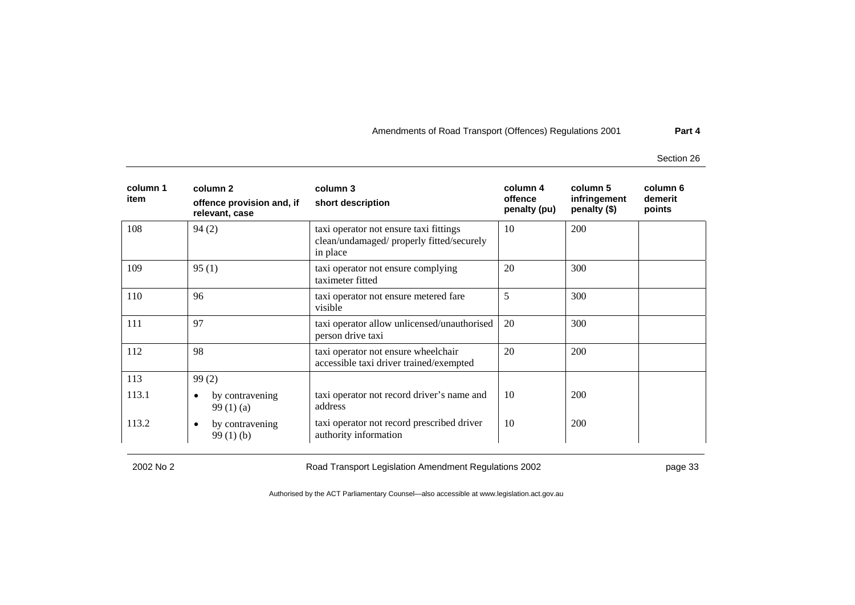Section 26

| column 1<br>item | column 2<br>offence provision and, if<br>relevant, case | column 3<br>short description                                                                   | column 4<br>offence<br>penalty (pu) | column 5<br>infringement<br>penalty (\$) | column 6<br>demerit<br>points |
|------------------|---------------------------------------------------------|-------------------------------------------------------------------------------------------------|-------------------------------------|------------------------------------------|-------------------------------|
| 108              | 94(2)                                                   | taxi operator not ensure taxi fittings<br>clean/undamaged/ properly fitted/securely<br>in place | 10                                  | 200                                      |                               |
| 109              | 95(1)                                                   | taxi operator not ensure complying<br>taximeter fitted                                          | 20                                  | 300                                      |                               |
| 110              | 96                                                      | taxi operator not ensure metered fare<br>visible                                                | 5                                   | 300                                      |                               |
| 111              | 97                                                      | taxi operator allow unlicensed/unauthorised<br>person drive taxi                                | 20                                  | 300                                      |                               |
| 112              | 98                                                      | taxi operator not ensure wheelchair<br>accessible taxi driver trained/exempted                  | 20                                  | <b>200</b>                               |                               |
| 113              | 99(2)                                                   |                                                                                                 |                                     |                                          |                               |
| 113.1            | by contravening<br>$\bullet$<br>99 $(1)$ $(a)$          | taxi operator not record driver's name and<br>address                                           | 10                                  | 200                                      |                               |
| 113.2            | by contravening<br>$\bullet$<br>99(1)(b)                | taxi operator not record prescribed driver<br>authority information                             | 10                                  | 200                                      |                               |

2002 No 2 Road Transport Legislation Amendment Regulations 2002 page 33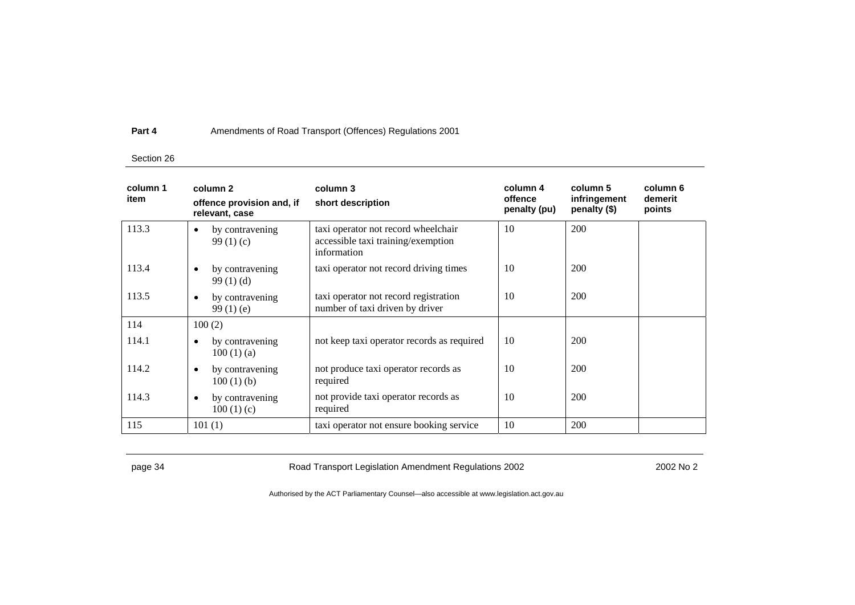### Section 26

| column 1<br>item | column 2<br>offence provision and, if<br>relevant, case | column 3<br>short description                                                            | column 4<br>offence<br>penalty (pu) | column 5<br>infringement<br>penalty (\$) | column 6<br>demerit<br>points |
|------------------|---------------------------------------------------------|------------------------------------------------------------------------------------------|-------------------------------------|------------------------------------------|-------------------------------|
| 113.3            | by contravening<br>$\bullet$<br>99 $(1)(c)$             | taxi operator not record wheelchair<br>accessible taxi training/exemption<br>information | 10                                  | 200                                      |                               |
| 113.4            | by contravening<br>٠<br>99(1)(d)                        | taxi operator not record driving times                                                   | 10                                  | 200                                      |                               |
| 113.5            | by contravening<br>$\bullet$<br>99 $(1)$ $(e)$          | taxi operator not record registration<br>number of taxi driven by driver                 | 10                                  | 200                                      |                               |
| 114              | 100(2)                                                  |                                                                                          |                                     |                                          |                               |
| 114.1            | by contravening<br>$\bullet$<br>100(1)(a)               | not keep taxi operator records as required                                               | 10                                  | 200                                      |                               |
| 114.2            | by contravening<br>$\bullet$<br>100(1)(b)               | not produce taxi operator records as<br>required                                         | 10                                  | 200                                      |                               |
| 114.3            | by contravening<br>$\bullet$<br>100(1)(c)               | not provide taxi operator records as<br>required                                         | 10                                  | 200                                      |                               |
| 115              | 101(1)                                                  | taxi operator not ensure booking service                                                 | 10                                  | 200                                      |                               |

page 34 **Road Transport Legislation Amendment Regulations 2002** 2002 No 2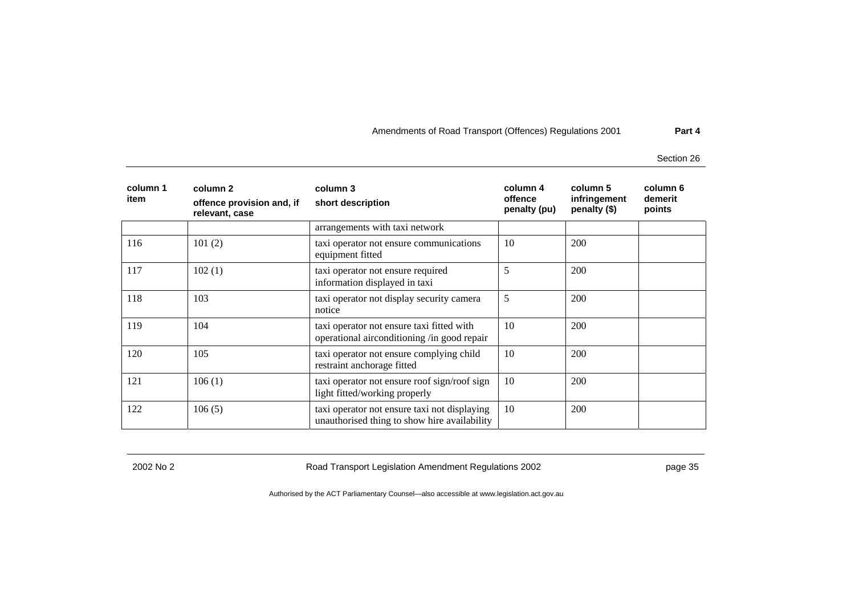Section 26

| column 1<br>item | column 2<br>offence provision and, if<br>relevant, case | column 3<br>short description                                                                | column 4<br>offence<br>penalty (pu) | column 5<br>infringement<br>penalty (\$) | column 6<br>demerit<br>points |
|------------------|---------------------------------------------------------|----------------------------------------------------------------------------------------------|-------------------------------------|------------------------------------------|-------------------------------|
|                  |                                                         | arrangements with taxi network                                                               |                                     |                                          |                               |
| 116              | 101(2)                                                  | taxi operator not ensure communications<br>equipment fitted                                  | 10                                  | 200                                      |                               |
| 117              | 102(1)                                                  | taxi operator not ensure required<br>information displayed in taxi                           | 5                                   | 200                                      |                               |
| 118              | 103                                                     | taxi operator not display security camera<br>notice                                          | 5                                   | 200                                      |                               |
| 119              | 104                                                     | taxi operator not ensure taxi fitted with<br>operational airconditioning /in good repair     | 10                                  | 200                                      |                               |
| 120              | 105                                                     | taxi operator not ensure complying child<br>restraint anchorage fitted                       | 10                                  | 200                                      |                               |
| 121              | 106(1)                                                  | taxi operator not ensure roof sign/roof sign<br>light fitted/working properly                | 10                                  | 200                                      |                               |
| 122              | 106(5)                                                  | taxi operator not ensure taxi not displaying<br>unauthorised thing to show hire availability | 10                                  | 200                                      |                               |

2002 No 2 Road Transport Legislation Amendment Regulations 2002 page 35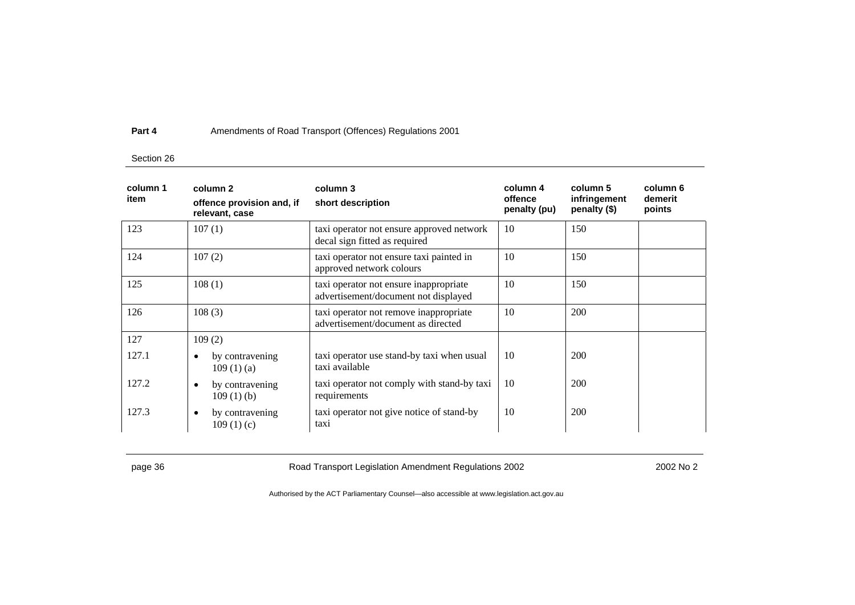### Section 26

| column 1<br>item | column 2<br>offence provision and, if<br>relevant, case | column 3<br>short description                                                  | column 4<br>offence<br>penalty (pu) | column 5<br>infringement<br>penalty (\$) | column 6<br>demerit<br>points |
|------------------|---------------------------------------------------------|--------------------------------------------------------------------------------|-------------------------------------|------------------------------------------|-------------------------------|
| 123              | 107(1)                                                  | taxi operator not ensure approved network<br>decal sign fitted as required     | 10                                  | 150                                      |                               |
| 124              | 107(2)                                                  | taxi operator not ensure taxi painted in<br>approved network colours           | 10                                  | 150                                      |                               |
| 125              | 108(1)                                                  | taxi operator not ensure inappropriate<br>advertisement/document not displayed | 10                                  | 150                                      |                               |
| 126              | 108(3)                                                  | taxi operator not remove inappropriate<br>advertisement/document as directed   | 10                                  | 200                                      |                               |
| 127              | 109(2)                                                  |                                                                                |                                     |                                          |                               |
| 127.1            | by contravening<br>$\bullet$<br>109(1)(a)               | taxi operator use stand-by taxi when usual<br>taxi available                   | 10                                  | <b>200</b>                               |                               |
| 127.2            | by contravening<br>$\bullet$<br>109(1)(b)               | taxi operator not comply with stand-by taxi<br>requirements                    | 10                                  | 200                                      |                               |
| 127.3            | by contravening<br>$\bullet$<br>109(1)(c)               | taxi operator not give notice of stand-by<br>taxi                              | 10                                  | 200                                      |                               |

page 36 **Road Transport Legislation Amendment Regulations 2002** 2002 No 2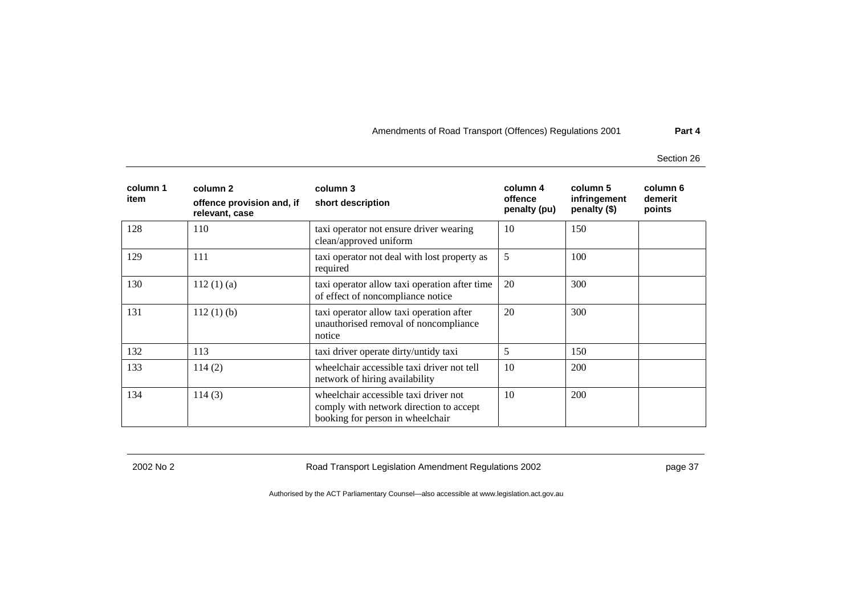Section 26

| column 1<br>item | column 2<br>offence provision and, if<br>relevant, case | column 3<br>short description                                                                                        | column 4<br>offence<br>penalty (pu) | column 5<br>infringement<br>penalty (\$) | column 6<br>demerit<br>points |
|------------------|---------------------------------------------------------|----------------------------------------------------------------------------------------------------------------------|-------------------------------------|------------------------------------------|-------------------------------|
| 128              | 110                                                     | taxi operator not ensure driver wearing<br>clean/approved uniform                                                    | 10                                  | 150                                      |                               |
| 129              | 111                                                     | taxi operator not deal with lost property as<br>required                                                             | 5                                   | 100                                      |                               |
| 130              | 112(1)(a)                                               | taxi operator allow taxi operation after time<br>of effect of noncompliance notice                                   | 20                                  | 300                                      |                               |
| 131              | $112(1)$ (b)                                            | taxi operator allow taxi operation after<br>unauthorised removal of noncompliance<br>notice                          | 20                                  | 300                                      |                               |
| 132              | 113                                                     | taxi driver operate dirty/untidy taxi                                                                                | 5                                   | 150                                      |                               |
| 133              | 114(2)                                                  | wheelchair accessible taxi driver not tell<br>network of hiring availability                                         | 10                                  | 200                                      |                               |
| 134              | 114(3)                                                  | wheelchair accessible taxi driver not<br>comply with network direction to accept<br>booking for person in wheelchair | 10                                  | 200                                      |                               |

2002 No 2 Road Transport Legislation Amendment Regulations 2002 page 37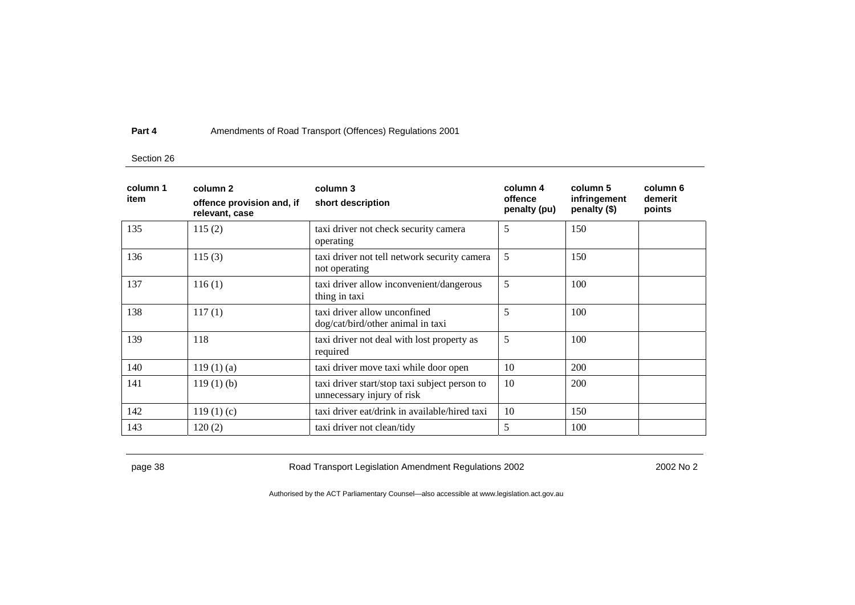### Section 26

| column 1<br>item | column 2<br>offence provision and, if<br>relevant, case | column 3<br>short description                                               | column 4<br>offence<br>penalty (pu) | column 5<br>infringement<br>penalty (\$) | column 6<br>demerit<br>points |
|------------------|---------------------------------------------------------|-----------------------------------------------------------------------------|-------------------------------------|------------------------------------------|-------------------------------|
| 135              | 115(2)                                                  | taxi driver not check security camera<br>operating                          | 5                                   | 150                                      |                               |
| 136              | 115(3)                                                  | taxi driver not tell network security camera<br>not operating               | 5                                   | 150                                      |                               |
| 137              | 116(1)                                                  | taxi driver allow inconvenient/dangerous<br>thing in taxi                   | 5                                   | 100                                      |                               |
| 138              | 117(1)                                                  | taxi driver allow unconfined<br>dog/cat/bird/other animal in taxi           | 5                                   | 100                                      |                               |
| 139              | 118                                                     | taxi driver not deal with lost property as<br>required                      | 5                                   | 100                                      |                               |
| 140              | 119(1)(a)                                               | taxi driver move taxi while door open                                       | 10                                  | 200                                      |                               |
| 141              | $119(1)$ (b)                                            | taxi driver start/stop taxi subject person to<br>unnecessary injury of risk | 10                                  | <b>200</b>                               |                               |
| 142              | 119(1)(c)                                               | taxi driver eat/drink in available/hired taxi                               | 10                                  | 150                                      |                               |
| 143              | 120(2)                                                  | taxi driver not clean/tidy                                                  | 5                                   | 100                                      |                               |

page 38 **Road Transport Legislation Amendment Regulations 2002** 2002 No 2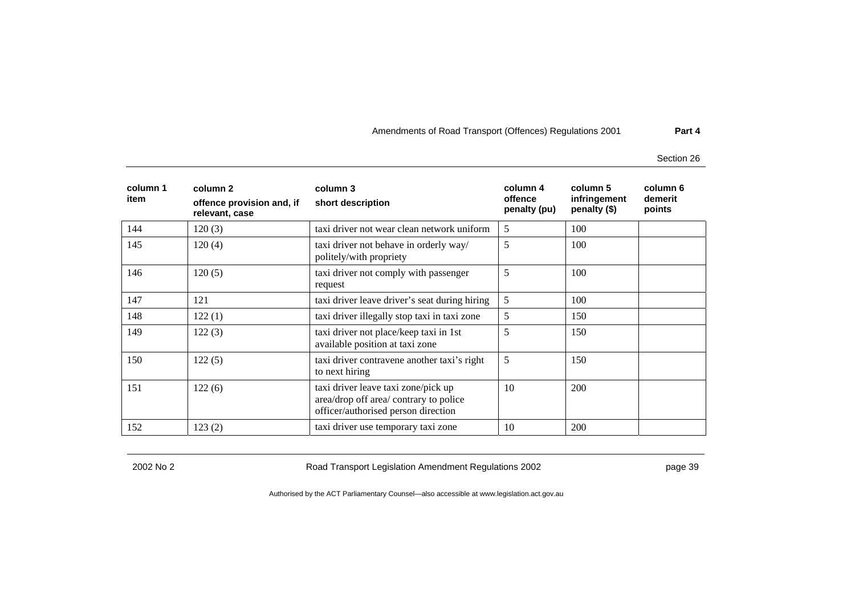Section 26

| column 1<br>item | column 2<br>offence provision and, if<br>relevant, case | column 3<br>short description                                                                                        | column 4<br>offence<br>penalty (pu) | column 5<br>infringement<br>penalty (\$) | column 6<br>demerit<br>points |
|------------------|---------------------------------------------------------|----------------------------------------------------------------------------------------------------------------------|-------------------------------------|------------------------------------------|-------------------------------|
| 144              | 120(3)                                                  | taxi driver not wear clean network uniform                                                                           | 5                                   | 100                                      |                               |
| 145              | 120(4)                                                  | taxi driver not behave in orderly way/<br>politely/with propriety                                                    | 5                                   | 100                                      |                               |
| 146              | 120(5)                                                  | taxi driver not comply with passenger<br>request                                                                     | 5                                   | 100                                      |                               |
| 147              | 121                                                     | taxi driver leave driver's seat during hiring                                                                        | 5                                   | 100                                      |                               |
| 148              | 122(1)                                                  | taxi driver illegally stop taxi in taxi zone                                                                         | 5                                   | 150                                      |                               |
| 149              | 122(3)                                                  | taxi driver not place/keep taxi in 1st<br>available position at taxi zone                                            | 5                                   | 150                                      |                               |
| 150              | 122(5)                                                  | taxi driver contravene another taxi's right<br>to next hiring                                                        | 5                                   | 150                                      |                               |
| 151              | 122(6)                                                  | taxi driver leave taxi zone/pick up<br>area/drop off area/ contrary to police<br>officer/authorised person direction | 10                                  | 200                                      |                               |
| 152              | 123(2)                                                  | taxi driver use temporary taxi zone                                                                                  | 10                                  | 200                                      |                               |

2002 No 2 Road Transport Legislation Amendment Regulations 2002 page 39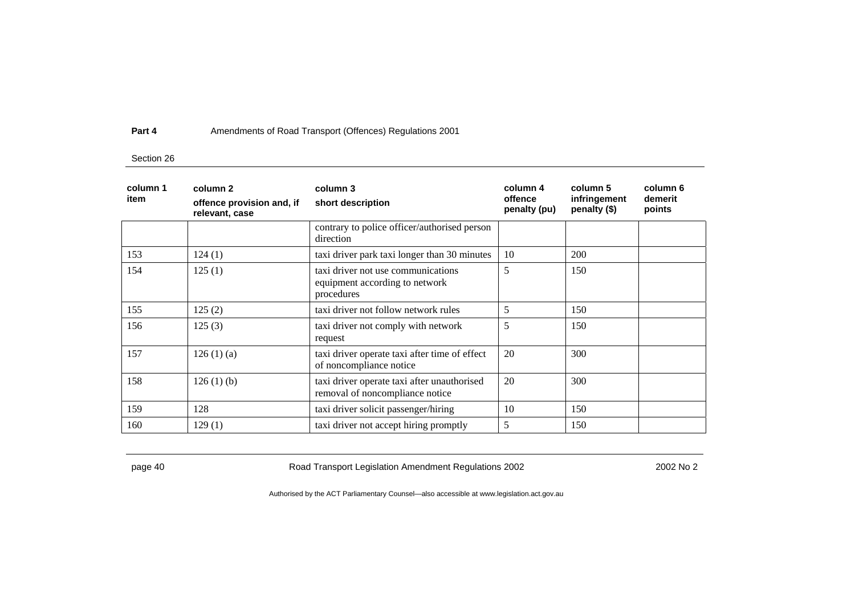### Section 26

| column 1<br>item | column 2<br>offence provision and, if<br>relevant, case | column 3<br>short description                                                      | column 4<br>offence<br>penalty (pu) | column 5<br>infringement<br>penalty (\$) | column 6<br>demerit<br>points |
|------------------|---------------------------------------------------------|------------------------------------------------------------------------------------|-------------------------------------|------------------------------------------|-------------------------------|
|                  |                                                         | contrary to police officer/authorised person<br>direction                          |                                     |                                          |                               |
| 153              | 124(1)                                                  | taxi driver park taxi longer than 30 minutes                                       | 10                                  | <b>200</b>                               |                               |
| 154              | 125(1)                                                  | taxi driver not use communications<br>equipment according to network<br>procedures | 5                                   | 150                                      |                               |
| 155              | 125(2)                                                  | taxi driver not follow network rules                                               | 5                                   | 150                                      |                               |
| 156              | 125(3)                                                  | taxi driver not comply with network<br>request                                     | 5                                   | 150                                      |                               |
| 157              | 126(1)(a)                                               | taxi driver operate taxi after time of effect<br>of noncompliance notice           | 20                                  | 300                                      |                               |
| 158              | 126(1)(b)                                               | taxi driver operate taxi after unauthorised<br>removal of noncompliance notice     | 20                                  | 300                                      |                               |
| 159              | 128                                                     | taxi driver solicit passenger/hiring                                               | 10                                  | 150                                      |                               |
| 160              | 129(1)                                                  | taxi driver not accept hiring promptly                                             | 5                                   | 150                                      |                               |

page 40 **Road Transport Legislation Amendment Regulations 2002** 2002 No 2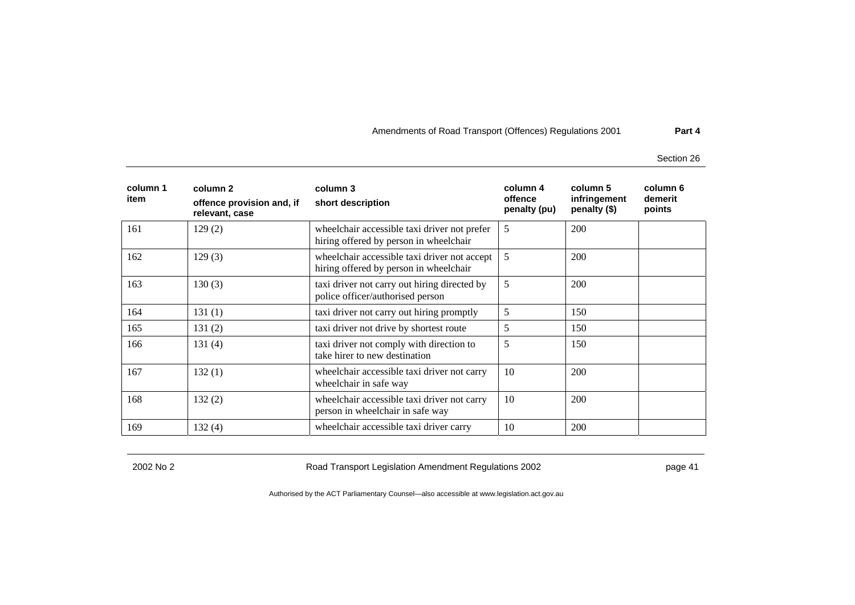Section 26

| column 1<br>item | column 2<br>offence provision and, if<br>relevant, case | column 3<br>short description                                                          | column 4<br>offence<br>penalty (pu) | column 5<br>infringement<br>penalty (\$) | column 6<br>demerit<br>points |
|------------------|---------------------------------------------------------|----------------------------------------------------------------------------------------|-------------------------------------|------------------------------------------|-------------------------------|
| 161              | 129(2)                                                  | wheelchair accessible taxi driver not prefer<br>hiring offered by person in wheelchair | 5                                   | 200                                      |                               |
| 162              | 129(3)                                                  | wheelchair accessible taxi driver not accept<br>hiring offered by person in wheelchair | 5                                   | 200                                      |                               |
| 163              | 130(3)                                                  | taxi driver not carry out hiring directed by<br>police officer/authorised person       | 5                                   | 200                                      |                               |
| 164              | 131(1)                                                  | taxi driver not carry out hiring promptly                                              | 5                                   | 150                                      |                               |
| 165              | 131(2)                                                  | taxi driver not drive by shortest route                                                | 5                                   | 150                                      |                               |
| 166              | 131(4)                                                  | taxi driver not comply with direction to<br>take hirer to new destination              | 5                                   | 150                                      |                               |
| 167              | 132(1)                                                  | wheelchair accessible taxi driver not carry<br>wheelchair in safe way                  | 10                                  | 200                                      |                               |
| 168              | 132(2)                                                  | wheelchair accessible taxi driver not carry<br>person in wheelchair in safe way        | 10                                  | 200                                      |                               |
| 169              | 132(4)                                                  | wheelchair accessible taxi driver carry                                                | 10                                  | 200                                      |                               |

2002 No 2 Road Transport Legislation Amendment Regulations 2002 page 41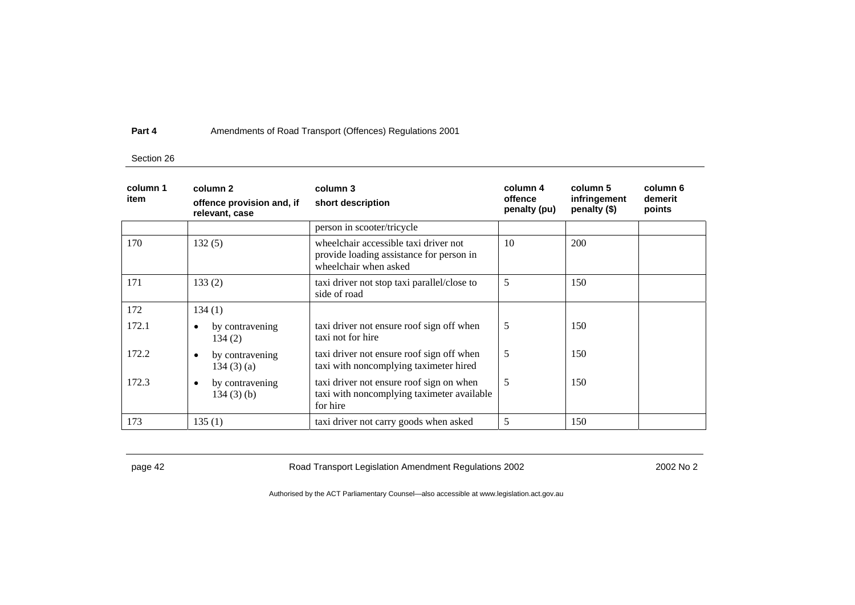### Section 26

| column 1<br>item | column 2<br>offence provision and, if<br>relevant, case | column 3<br>short description                                                                              | column 4<br>offence<br>penalty (pu) | column 5<br>infringement<br>penalty (\$) | column 6<br>demerit<br>points |
|------------------|---------------------------------------------------------|------------------------------------------------------------------------------------------------------------|-------------------------------------|------------------------------------------|-------------------------------|
|                  |                                                         | person in scooter/tricycle                                                                                 |                                     |                                          |                               |
| 170              | 132(5)                                                  | wheelchair accessible taxi driver not<br>provide loading assistance for person in<br>wheelchair when asked | 10                                  | 200                                      |                               |
| 171              | 133(2)                                                  | taxi driver not stop taxi parallel/close to<br>side of road                                                | 5                                   | 150                                      |                               |
| 172              | 134(1)                                                  |                                                                                                            |                                     |                                          |                               |
| 172.1            | by contravening<br>$\bullet$<br>134(2)                  | taxi driver not ensure roof sign off when<br>taxi not for hire                                             | 5                                   | 150                                      |                               |
| 172.2            | by contravening<br>$\bullet$<br>134(3)(a)               | taxi driver not ensure roof sign off when<br>taxi with noncomplying taximeter hired                        | 5                                   | 150                                      |                               |
| 172.3            | by contravening<br>٠<br>$134(3)$ (b)                    | taxi driver not ensure roof sign on when<br>taxi with noncomplying taximeter available<br>for hire         | 5                                   | 150                                      |                               |
| 173              | 135(1)                                                  | taxi driver not carry goods when asked                                                                     | 5                                   | 150                                      |                               |

page 42 **Road Transport Legislation Amendment Regulations 2002** 2002 No 2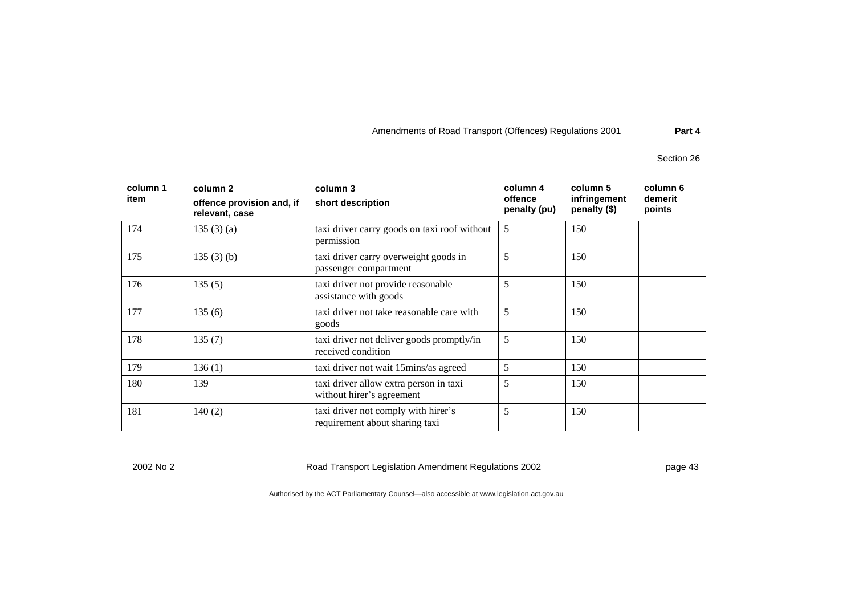Section 26

| column 1<br>item | column 2<br>offence provision and, if<br>relevant, case | column 3<br>short description                                         | column 4<br>offence<br>penalty (pu) | column 5<br>infringement<br>penalty (\$) | column 6<br>demerit<br>points |
|------------------|---------------------------------------------------------|-----------------------------------------------------------------------|-------------------------------------|------------------------------------------|-------------------------------|
| 174              | 135(3)(a)                                               | taxi driver carry goods on taxi roof without<br>permission            | 5                                   | 150                                      |                               |
| 175              | 135(3)(b)                                               | taxi driver carry overweight goods in<br>passenger compartment        | 5                                   | 150                                      |                               |
| 176              | 135(5)                                                  | taxi driver not provide reasonable<br>assistance with goods           | 5                                   | 150                                      |                               |
| 177              | 135(6)                                                  | taxi driver not take reasonable care with<br>goods                    | 5                                   | 150                                      |                               |
| 178              | 135(7)                                                  | taxi driver not deliver goods promptly/in<br>received condition       | 5                                   | 150                                      |                               |
| 179              | 136(1)                                                  | taxi driver not wait 15mins/as agreed                                 | 5                                   | 150                                      |                               |
| 180              | 139                                                     | taxi driver allow extra person in taxi<br>without hirer's agreement   | 5                                   | 150                                      |                               |
| 181              | 140(2)                                                  | taxi driver not comply with hirer's<br>requirement about sharing taxi | 5                                   | 150                                      |                               |

2002 No 2 Road Transport Legislation Amendment Regulations 2002 page 43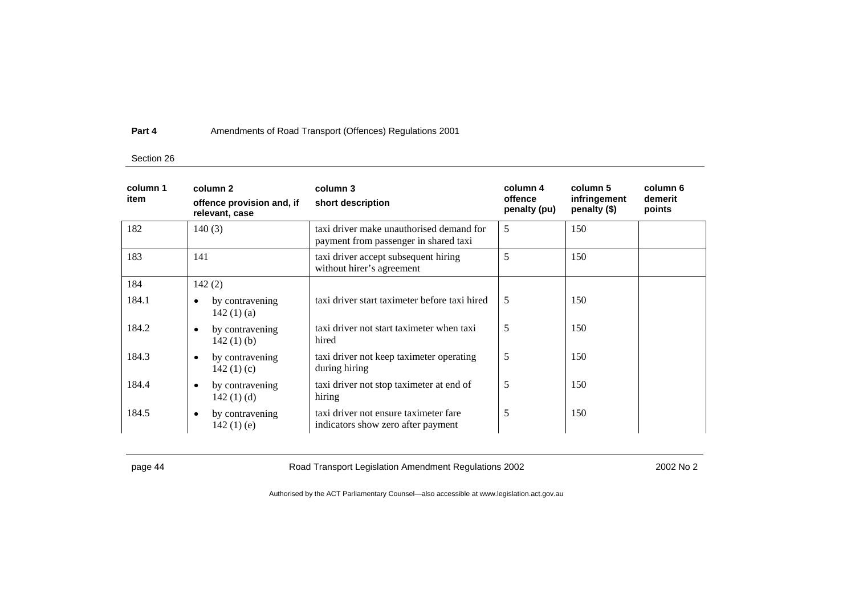### Section 26

| column 1<br>item | column 2<br>offence provision and, if<br>relevant, case | column 3<br>short description                                                     | column 4<br>offence<br>penalty (pu) | column 5<br>infringement<br>penalty (\$) | column 6<br>demerit<br>points |
|------------------|---------------------------------------------------------|-----------------------------------------------------------------------------------|-------------------------------------|------------------------------------------|-------------------------------|
| 182              | 140(3)                                                  | taxi driver make unauthorised demand for<br>payment from passenger in shared taxi | 5                                   | 150                                      |                               |
| 183              | 141                                                     | taxi driver accept subsequent hiring<br>without hirer's agreement                 | 5                                   | 150                                      |                               |
| 184              | 142(2)                                                  |                                                                                   |                                     |                                          |                               |
| 184.1            | by contravening<br>$\bullet$<br>142 $(1)(a)$            | taxi driver start taximeter before taxi hired                                     | 5                                   | 150                                      |                               |
| 184.2            | by contravening<br>$\bullet$<br>142 $(1)$ $(b)$         | taxi driver not start taximeter when taxi<br>hired                                | 5                                   | 150                                      |                               |
| 184.3            | by contravening<br>$\bullet$<br>142 $(1)(c)$            | taxi driver not keep taximeter operating<br>during hiring                         | 5                                   | 150                                      |                               |
| 184.4            | by contravening<br>٠<br>142 $(1)$ $(d)$                 | taxi driver not stop taximeter at end of<br>hiring                                | 5                                   | 150                                      |                               |
| 184.5            | by contravening<br>$\bullet$<br>$142(1)$ (e)            | taxi driver not ensure taximeter fare<br>indicators show zero after payment       | 5                                   | 150                                      |                               |

page 44 **Road Transport Legislation Amendment Regulations 2002** 2002 No 2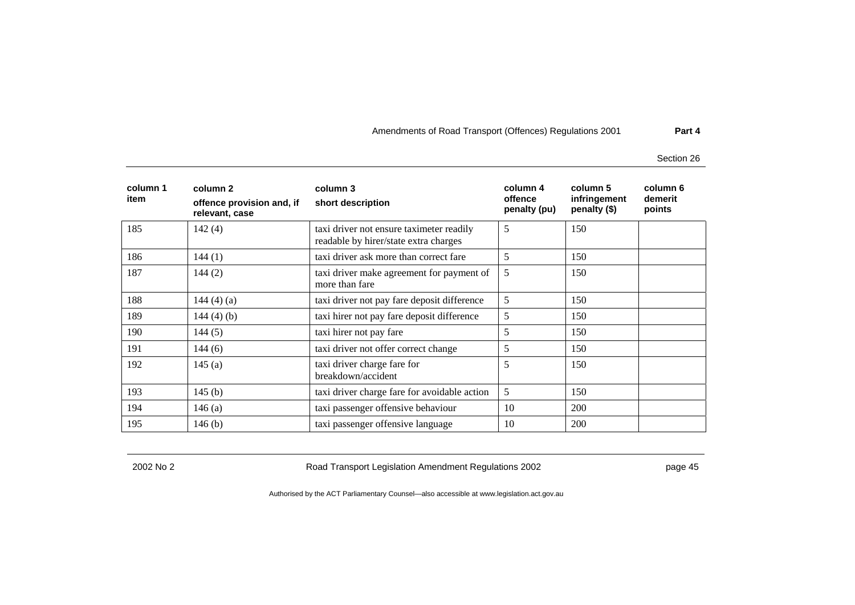Section 26

| column 1<br>item | column 2<br>offence provision and, if<br>relevant, case | column 3<br>short description                                                     | column 4<br>offence<br>penalty (pu) | column 5<br>infringement<br>penalty (\$) | column 6<br>demerit<br>points |
|------------------|---------------------------------------------------------|-----------------------------------------------------------------------------------|-------------------------------------|------------------------------------------|-------------------------------|
| 185              | 142(4)                                                  | taxi driver not ensure taximeter readily<br>readable by hirer/state extra charges | 5                                   | 150                                      |                               |
| 186              | 144(1)                                                  | taxi driver ask more than correct fare                                            | 5                                   | 150                                      |                               |
| 187              | 144(2)                                                  | taxi driver make agreement for payment of<br>more than fare                       | 5                                   | 150                                      |                               |
| 188              | 144 $(4)$ $(a)$                                         | taxi driver not pay fare deposit difference                                       | 5                                   | 150                                      |                               |
| 189              | 144 $(4)$ $(b)$                                         | taxi hirer not pay fare deposit difference                                        | 5                                   | 150                                      |                               |
| 190              | 144(5)                                                  | taxi hirer not pay fare                                                           | 5                                   | 150                                      |                               |
| 191              | 144(6)                                                  | taxi driver not offer correct change                                              | 5                                   | 150                                      |                               |
| 192              | 145(a)                                                  | taxi driver charge fare for<br>breakdown/accident                                 | 5                                   | 150                                      |                               |
| 193              | 145(b)                                                  | taxi driver charge fare for avoidable action                                      | 5                                   | 150                                      |                               |
| 194              | 146(a)                                                  | taxi passenger offensive behaviour                                                | 10                                  | 200                                      |                               |
| 195              | 146(b)                                                  | taxi passenger offensive language                                                 | 10                                  | 200                                      |                               |

2002 No 2 Road Transport Legislation Amendment Regulations 2002 page 45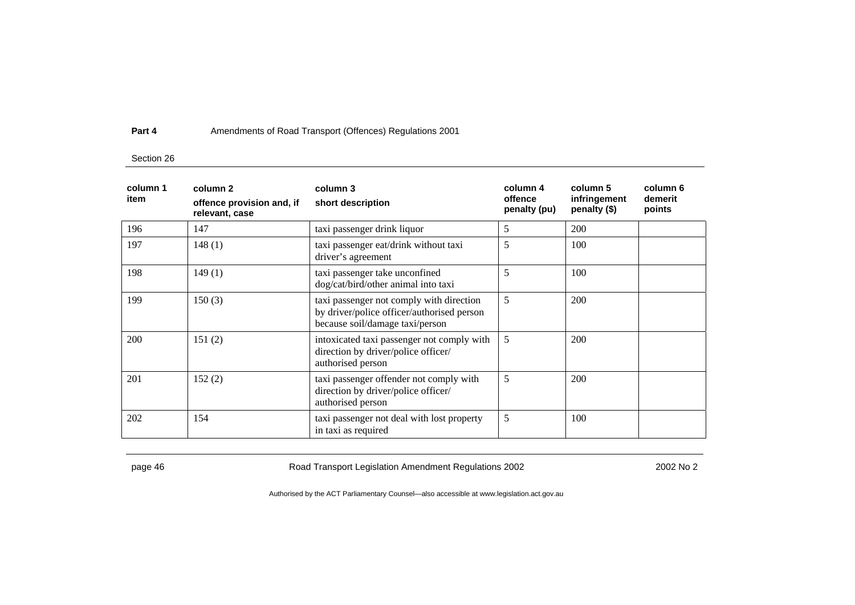### Section 26

| column 1<br>item | column 2<br>offence provision and, if<br>relevant, case | column 3<br>short description                                                                                             | column 4<br>offence<br>penalty (pu) | column 5<br>infringement<br>penalty (\$) | column 6<br>demerit<br>points |
|------------------|---------------------------------------------------------|---------------------------------------------------------------------------------------------------------------------------|-------------------------------------|------------------------------------------|-------------------------------|
| 196              | 147                                                     | taxi passenger drink liquor                                                                                               | 5                                   | 200                                      |                               |
| 197              | 148(1)                                                  | taxi passenger eat/drink without taxi<br>driver's agreement                                                               | 5                                   | 100                                      |                               |
| 198              | 149(1)                                                  | taxi passenger take unconfined<br>dog/cat/bird/other animal into taxi                                                     | 5                                   | 100                                      |                               |
| 199              | 150(3)                                                  | taxi passenger not comply with direction<br>by driver/police officer/authorised person<br>because soil/damage taxi/person | 5                                   | 200                                      |                               |
| 200              | 151(2)                                                  | intoxicated taxi passenger not comply with<br>direction by driver/police officer/<br>authorised person                    | 5                                   | 200                                      |                               |
| 201              | 152(2)                                                  | taxi passenger offender not comply with<br>direction by driver/police officer/<br>authorised person                       | 5                                   | 200                                      |                               |
| 202              | 154                                                     | taxi passenger not deal with lost property<br>in taxi as required                                                         | 5                                   | 100                                      |                               |

page 46 **Road Transport Legislation Amendment Regulations 2002** 2002 No 2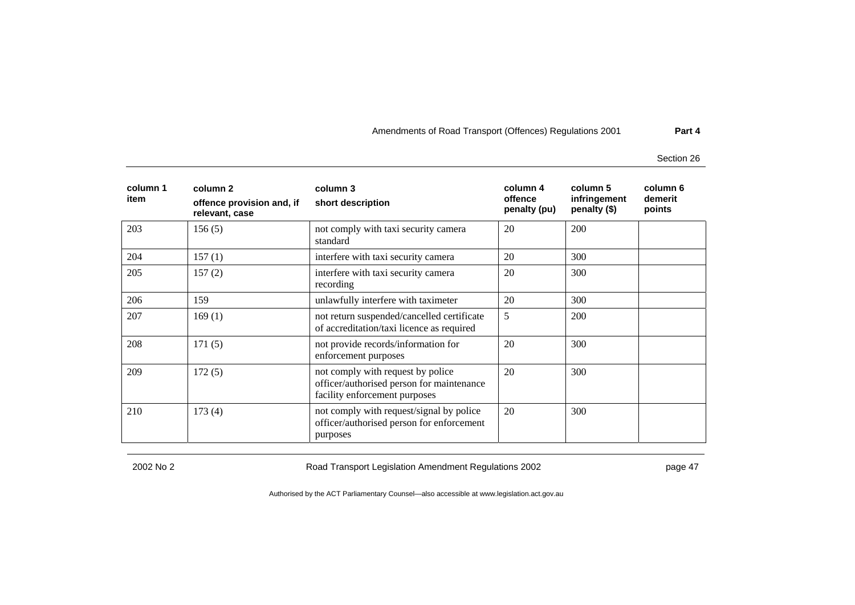Section 26

| column 1<br>item | column 2<br>offence provision and, if<br>relevant, case | column 3<br>short description                                                                                   | column 4<br>offence<br>penalty (pu) | column 5<br>infringement<br>penalty (\$) | column 6<br>demerit<br>points |
|------------------|---------------------------------------------------------|-----------------------------------------------------------------------------------------------------------------|-------------------------------------|------------------------------------------|-------------------------------|
| 203              | 156(5)                                                  | not comply with taxi security camera<br>standard                                                                | 20                                  | 200                                      |                               |
| 204              | 157(1)                                                  | interfere with taxi security camera                                                                             | 20                                  | 300                                      |                               |
| 205              | 157(2)                                                  | interfere with taxi security camera<br>recording                                                                | 20                                  | 300                                      |                               |
| 206              | 159                                                     | unlawfully interfere with taximeter                                                                             | 20                                  | 300                                      |                               |
| 207              | 169(1)                                                  | not return suspended/cancelled certificate<br>of accreditation/taxi licence as required                         | 5                                   | <b>200</b>                               |                               |
| 208              | 171(5)                                                  | not provide records/information for<br>enforcement purposes                                                     | 20                                  | 300                                      |                               |
| 209              | 172(5)                                                  | not comply with request by police<br>officer/authorised person for maintenance<br>facility enforcement purposes | 20                                  | 300                                      |                               |
| 210              | 173(4)                                                  | not comply with request/signal by police<br>officer/authorised person for enforcement<br>purposes               | 20                                  | 300                                      |                               |

2002 No 2 Road Transport Legislation Amendment Regulations 2002 page 47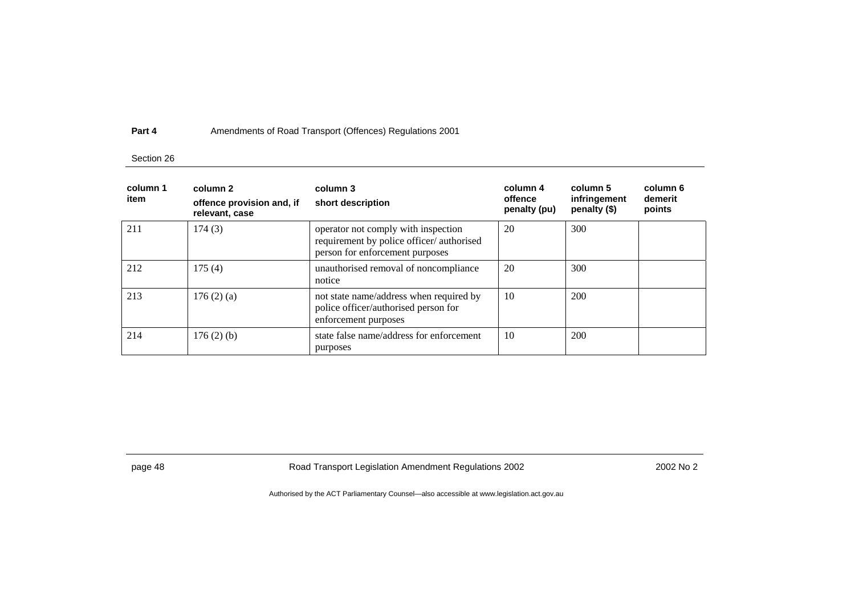### Section 26

| column 1<br>item | column 2<br>offence provision and, if<br>relevant, case | column 3<br>short description                                                                                      | column 4<br>offence<br>penalty (pu) | column 5<br>infringement<br>penalty (\$) | column 6<br>demerit<br>points |
|------------------|---------------------------------------------------------|--------------------------------------------------------------------------------------------------------------------|-------------------------------------|------------------------------------------|-------------------------------|
| 211              | 174(3)                                                  | operator not comply with inspection<br>requirement by police officer/authorised<br>person for enforcement purposes | 20                                  | 300                                      |                               |
| 212              | 175(4)                                                  | unauthorised removal of noncompliance<br>notice                                                                    | 20                                  | 300                                      |                               |
| 213              | 176(2)(a)                                               | not state name/address when required by<br>police officer/authorised person for<br>enforcement purposes            | 10                                  | 200                                      |                               |
| 214              | 176(2)(b)                                               | state false name/address for enforcement<br>purposes                                                               | 10                                  | 200                                      |                               |

page 48 **Road Transport Legislation Amendment Regulations 2002** 2002 No 2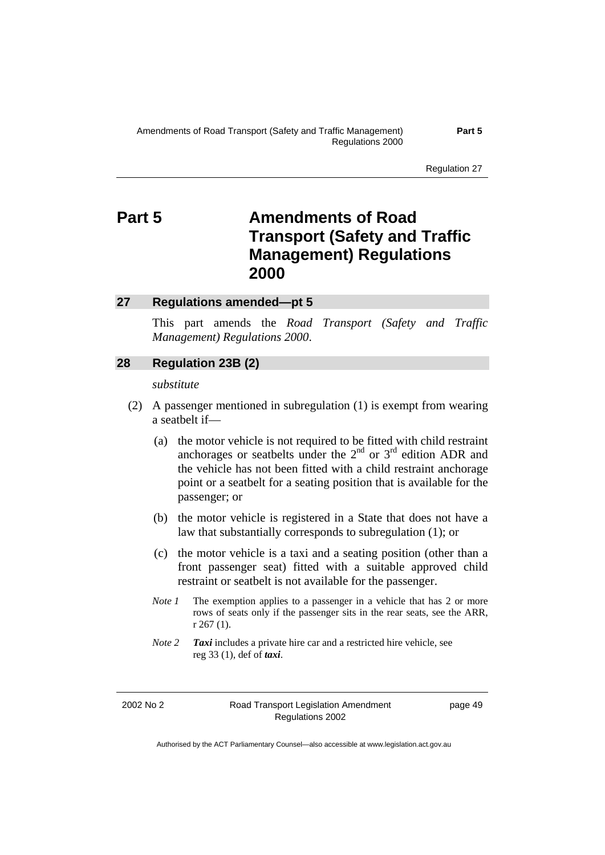Regulation 27

# **Part 5 Amendments of Road Transport (Safety and Traffic Management) Regulations 2000**

### **27 Regulations amended—pt 5**

This part amends the *Road Transport (Safety and Traffic Management) Regulations 2000*.

### **28 Regulation 23B (2)**

### *substitute*

- (2) A passenger mentioned in subregulation (1) is exempt from wearing a seatbelt if—
	- (a) the motor vehicle is not required to be fitted with child restraint anchorages or seatbelts under the  $2<sup>nd</sup>$  or  $3<sup>rd</sup>$  edition ADR and the vehicle has not been fitted with a child restraint anchorage point or a seatbelt for a seating position that is available for the passenger; or
	- (b) the motor vehicle is registered in a State that does not have a law that substantially corresponds to subregulation (1); or
	- (c) the motor vehicle is a taxi and a seating position (other than a front passenger seat) fitted with a suitable approved child restraint or seatbelt is not available for the passenger.
	- *Note 1* The exemption applies to a passenger in a vehicle that has 2 or more rows of seats only if the passenger sits in the rear seats, see the ARR, r 267 (1).
	- *Note 2 Taxi* includes a private hire car and a restricted hire vehicle, see reg 33 (1), def of *taxi*.

2002 No 2 Road Transport Legislation Amendment Regulations 2002

page 49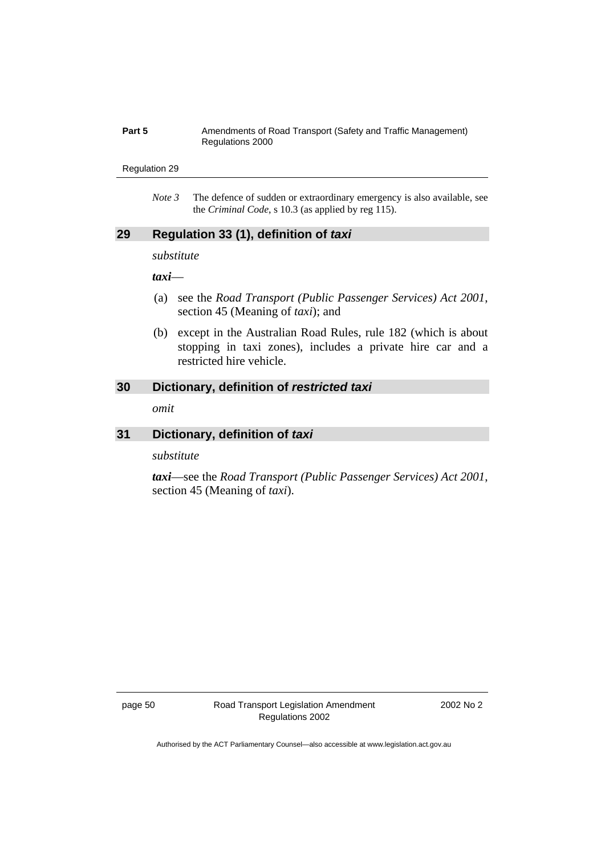### **Part 5** Amendments of Road Transport (Safety and Traffic Management) Regulations 2000

### Regulation 29

*Note 3* The defence of sudden or extraordinary emergency is also available, see the *Criminal Code*, s 10.3 (as applied by reg 115).

## **29 Regulation 33 (1), definition of** *taxi*

*substitute* 

*taxi*—

- (a) see the *Road Transport (Public Passenger Services) Act 2001*, section 45 (Meaning of *taxi*); and
- (b) except in the Australian Road Rules, rule 182 (which is about stopping in taxi zones), includes a private hire car and a restricted hire vehicle.

### **30 Dictionary, definition of** *restricted taxi*

*omit* 

### **31 Dictionary, definition of** *taxi*

*substitute* 

*taxi*—see the *Road Transport (Public Passenger Services) Act 2001*, section 45 (Meaning of *taxi*).

page 50 Road Transport Legislation Amendment Regulations 2002

2002 No 2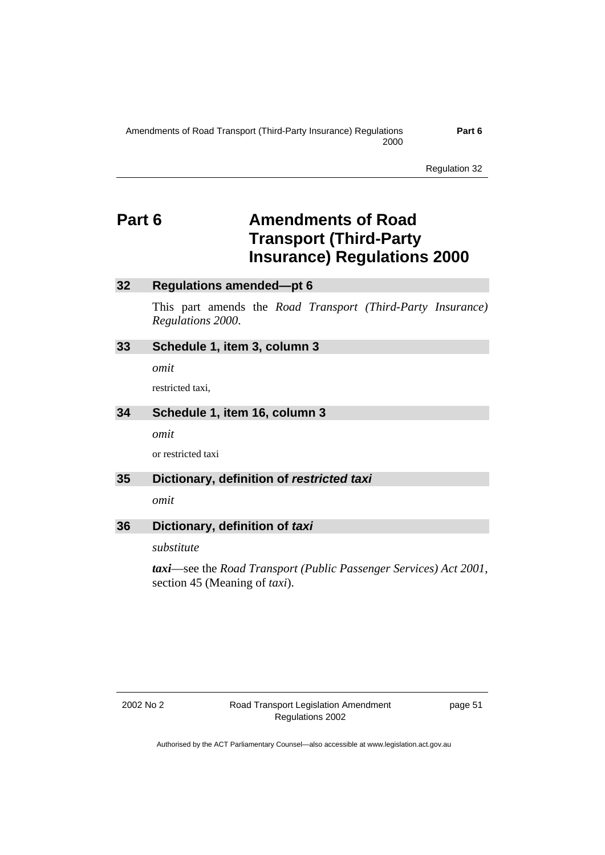**Part 6** 

Regulation 32

# **Part 6 Amendments of Road Transport (Third-Party Insurance) Regulations 2000**

## **32 Regulations amended—pt 6**

This part amends the *Road Transport (Third-Party Insurance) Regulations 2000*.

### **33 Schedule 1, item 3, column 3**

*omit* 

restricted taxi,

## **34 Schedule 1, item 16, column 3**

*omit* 

or restricted taxi

### **35 Dictionary, definition of** *restricted taxi*

*omit* 

# **36 Dictionary, definition of** *taxi*

*substitute* 

*taxi*—see the *Road Transport (Public Passenger Services) Act 2001*, section 45 (Meaning of *taxi*).

page 51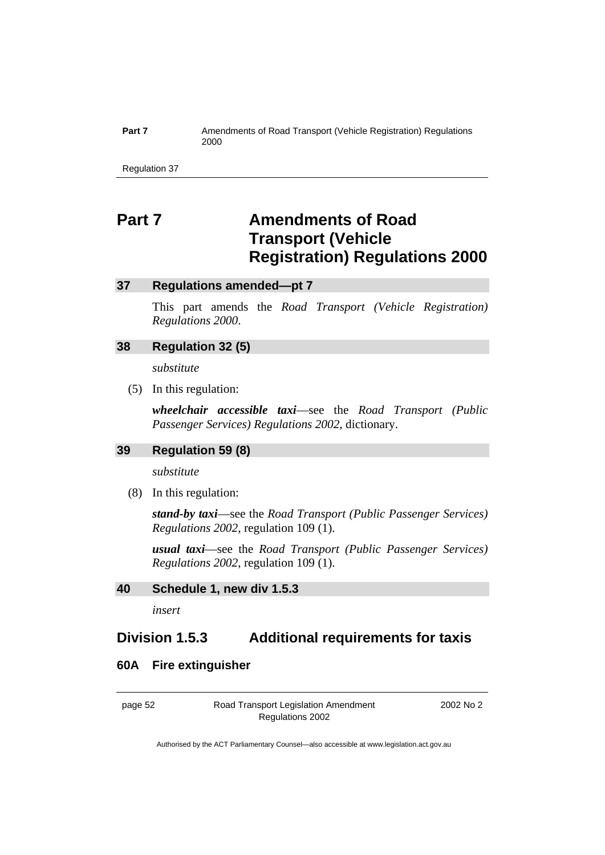### **Part 7** Amendments of Road Transport (Vehicle Registration) Regulations 2000

Regulation 37

# **Part 7 Amendments of Road Transport (Vehicle Registration) Regulations 2000**

## **37 Regulations amended—pt 7**

This part amends the *Road Transport (Vehicle Registration) Regulations 2000*.

## **38 Regulation 32 (5)**

*substitute* 

(5) In this regulation:

*wheelchair accessible taxi*—see the *Road Transport (Public Passenger Services) Regulations 2002*, dictionary.

## **39 Regulation 59 (8)**

*substitute* 

(8) In this regulation:

*stand-by taxi*—see the *Road Transport (Public Passenger Services) Regulations 2002*, regulation 109 (1).

*usual taxi*—see the *Road Transport (Public Passenger Services) Regulations 2002*, regulation 109 (1).

### **40 Schedule 1, new div 1.5.3**

*insert* 

# **Division 1.5.3 Additional requirements for taxis**

### **60A Fire extinguisher**

page 52 Road Transport Legislation Amendment Regulations 2002

2002 No 2